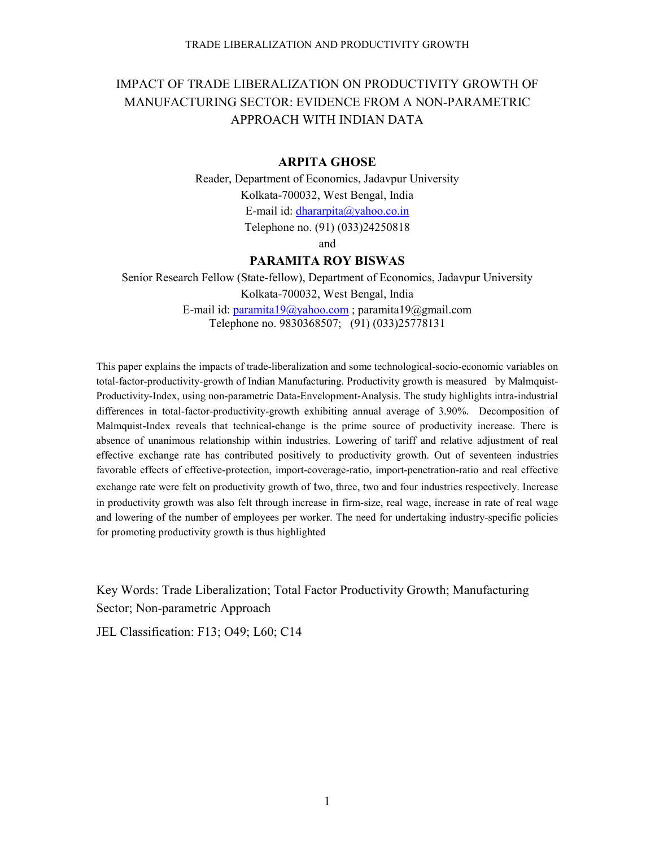# IMPACT OF TRADE LIBERALIZATION ON PRODUCTIVITY GROWTH OF MANUFACTURING SECTOR: EVIDENCE FROM A NON-PARAMETRIC APPROACH WITH INDIAN DATA

## **ARPITA GHOSE**

Reader, Department of Economics, Jadavpur University Kolkata-700032, West Bengal, India E-mail id: [dhararpita@yahoo.co.in](mailto:dhararpita@yahoo.co.in) Telephone no. (91) (033)24250818

and

## **PARAMITA ROY BISWAS**

Senior Research Fellow (State-fellow), Department of Economics, Jadavpur University Kolkata-700032, West Bengal, India E-mail id: [paramita19@yahoo.com](mailto:paramita19@yahoo.com) ; paramita19@gmail.com Telephone no. 9830368507; (91) (033)25778131

This paper explains the impacts of trade-liberalization and some technological-socio-economic variables on total-factor-productivity-growth of Indian Manufacturing. Productivity growth is measured by Malmquist-Productivity-Index, using non-parametric Data-Envelopment-Analysis. The study highlights intra-industrial differences in total-factor-productivity-growth exhibiting annual average of 3.90%. Decomposition of Malmquist-Index reveals that technical-change is the prime source of productivity increase. There is absence of unanimous relationship within industries. Lowering of tariff and relative adjustment of real effective exchange rate has contributed positively to productivity growth. Out of seventeen industries favorable effects of effective-protection, import-coverage-ratio, import-penetration-ratio and real effective exchange rate were felt on productivity growth of two, three, two and four industries respectively. Increase in productivity growth was also felt through increase in firm-size, real wage, increase in rate of real wage and lowering of the number of employees per worker. The need for undertaking industry-specific policies for promoting productivity growth is thus highlighted

Key Words: Trade Liberalization; Total Factor Productivity Growth; Manufacturing Sector; Non-parametric Approach

JEL Classification: F13; O49; L60; C14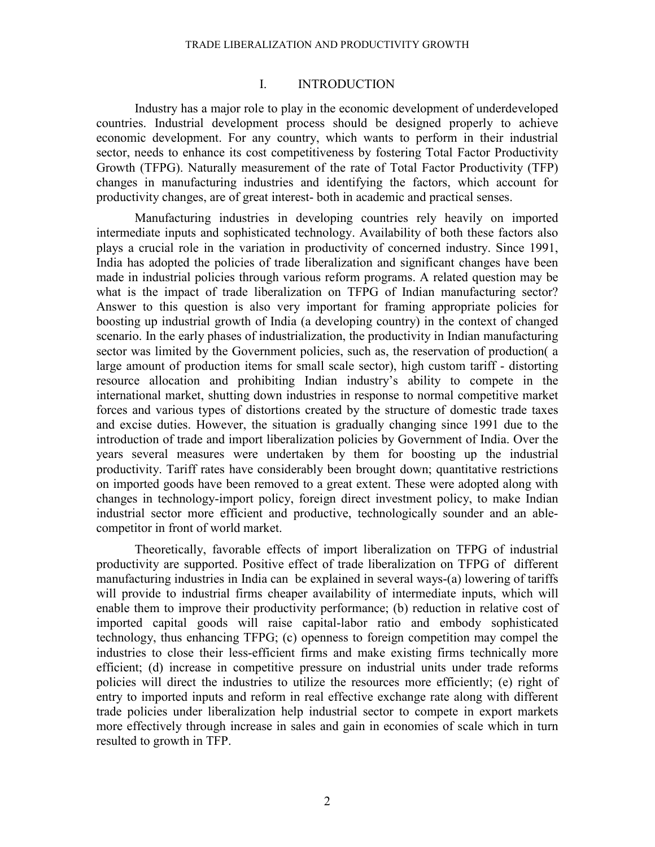## I. INTRODUCTION

Industry has a major role to play in the economic development of underdeveloped countries. Industrial development process should be designed properly to achieve economic development. For any country, which wants to perform in their industrial sector, needs to enhance its cost competitiveness by fostering Total Factor Productivity Growth (TFPG). Naturally measurement of the rate of Total Factor Productivity (TFP) changes in manufacturing industries and identifying the factors, which account for productivity changes, are of great interest- both in academic and practical senses.

Manufacturing industries in developing countries rely heavily on imported intermediate inputs and sophisticated technology. Availability of both these factors also plays a crucial role in the variation in productivity of concerned industry. Since 1991, India has adopted the policies of trade liberalization and significant changes have been made in industrial policies through various reform programs. A related question may be what is the impact of trade liberalization on TFPG of Indian manufacturing sector? Answer to this question is also very important for framing appropriate policies for boosting up industrial growth of India (a developing country) in the context of changed scenario. In the early phases of industrialization, the productivity in Indian manufacturing sector was limited by the Government policies, such as, the reservation of production( a large amount of production items for small scale sector), high custom tariff - distorting resource allocation and prohibiting Indian industry's ability to compete in the international market, shutting down industries in response to normal competitive market forces and various types of distortions created by the structure of domestic trade taxes and excise duties. However, the situation is gradually changing since 1991 due to the introduction of trade and import liberalization policies by Government of India. Over the years several measures were undertaken by them for boosting up the industrial productivity. Tariff rates have considerably been brought down; quantitative restrictions on imported goods have been removed to a great extent. These were adopted along with changes in technology-import policy, foreign direct investment policy, to make Indian industrial sector more efficient and productive, technologically sounder and an ablecompetitor in front of world market.

 Theoretically, favorable effects of import liberalization on TFPG of industrial productivity are supported. Positive effect of trade liberalization on TFPG of different manufacturing industries in India can be explained in several ways-(a) lowering of tariffs will provide to industrial firms cheaper availability of intermediate inputs, which will enable them to improve their productivity performance; (b) reduction in relative cost of imported capital goods will raise capital-labor ratio and embody sophisticated technology, thus enhancing TFPG; (c) openness to foreign competition may compel the industries to close their less-efficient firms and make existing firms technically more efficient; (d) increase in competitive pressure on industrial units under trade reforms policies will direct the industries to utilize the resources more efficiently; (e) right of entry to imported inputs and reform in real effective exchange rate along with different trade policies under liberalization help industrial sector to compete in export markets more effectively through increase in sales and gain in economies of scale which in turn resulted to growth in TFP.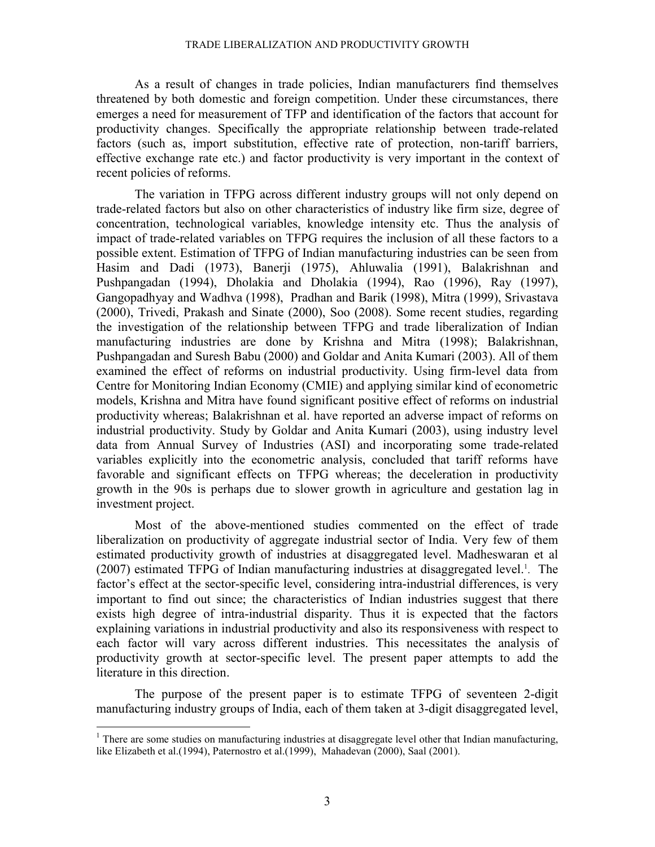As a result of changes in trade policies, Indian manufacturers find themselves threatened by both domestic and foreign competition. Under these circumstances, there emerges a need for measurement of TFP and identification of the factors that account for productivity changes. Specifically the appropriate relationship between trade-related factors (such as, import substitution, effective rate of protection, non-tariff barriers, effective exchange rate etc.) and factor productivity is very important in the context of recent policies of reforms.

The variation in TFPG across different industry groups will not only depend on trade-related factors but also on other characteristics of industry like firm size, degree of concentration, technological variables, knowledge intensity etc. Thus the analysis of impact of trade-related variables on TFPG requires the inclusion of all these factors to a possible extent. Estimation of TFPG of Indian manufacturing industries can be seen from Hasim and Dadi (1973), Banerji (1975), Ahluwalia (1991), Balakrishnan and Pushpangadan (1994), Dholakia and Dholakia (1994), Rao (1996), Ray (1997), Gangopadhyay and Wadhva (1998), Pradhan and Barik (1998), Mitra (1999), Srivastava (2000), Trivedi, Prakash and Sinate (2000), Soo (2008). Some recent studies, regarding the investigation of the relationship between TFPG and trade liberalization of Indian manufacturing industries are done by Krishna and Mitra (1998); Balakrishnan, Pushpangadan and Suresh Babu (2000) and Goldar and Anita Kumari (2003). All of them examined the effect of reforms on industrial productivity. Using firm-level data from Centre for Monitoring Indian Economy (CMIE) and applying similar kind of econometric models, Krishna and Mitra have found significant positive effect of reforms on industrial productivity whereas; Balakrishnan et al. have reported an adverse impact of reforms on industrial productivity. Study by Goldar and Anita Kumari (2003), using industry level data from Annual Survey of Industries (ASI) and incorporating some trade-related variables explicitly into the econometric analysis, concluded that tariff reforms have favorable and significant effects on TFPG whereas; the deceleration in productivity growth in the 90s is perhaps due to slower growth in agriculture and gestation lag in investment project.

Most of the above-mentioned studies commented on the effect of trade liberalization on productivity of aggregate industrial sector of India. Very few of them estimated productivity growth of industries at disaggregated level. Madheswaran et al (2007) estimated TFPG of Indian manufacturing industries at disaggregated level.<sup>1</sup>. The factor's effect at the sector-specific level, considering intra-industrial differences, is very important to find out since; the characteristics of Indian industries suggest that there exists high degree of intra-industrial disparity. Thus it is expected that the factors explaining variations in industrial productivity and also its responsiveness with respect to each factor will vary across different industries. This necessitates the analysis of productivity growth at sector-specific level. The present paper attempts to add the literature in this direction.

The purpose of the present paper is to estimate TFPG of seventeen 2-digit manufacturing industry groups of India, each of them taken at 3-digit disaggregated level,

 $\overline{a}$ 

<sup>&</sup>lt;sup>1</sup> There are some studies on manufacturing industries at disaggregate level other that Indian manufacturing, like Elizabeth et al.(1994), Paternostro et al.(1999), Mahadevan (2000), Saal (2001).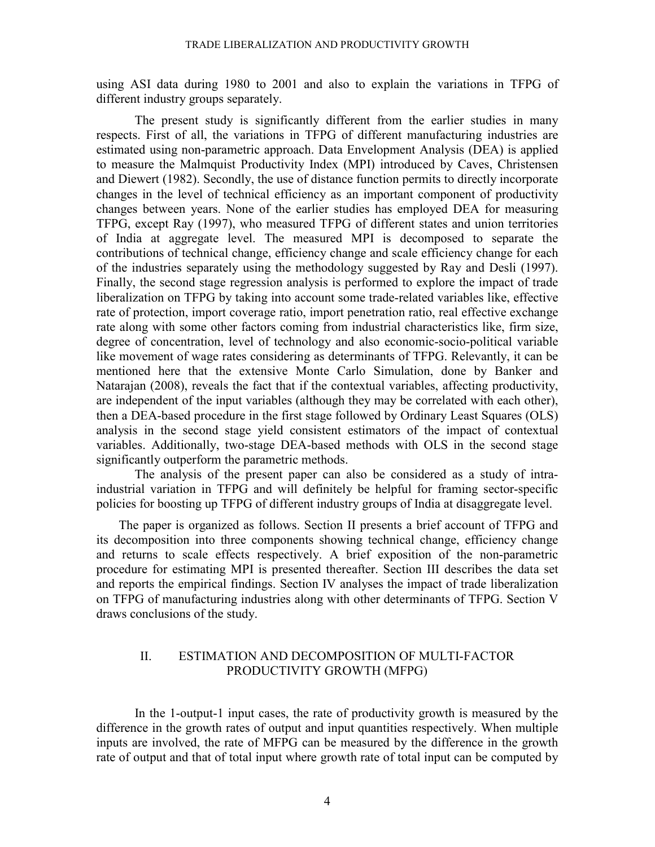using ASI data during 1980 to 2001 and also to explain the variations in TFPG of different industry groups separately.

The present study is significantly different from the earlier studies in many respects. First of all, the variations in TFPG of different manufacturing industries are estimated using non-parametric approach. Data Envelopment Analysis (DEA) is applied to measure the Malmquist Productivity Index (MPI) introduced by Caves, Christensen and Diewert (1982). Secondly, the use of distance function permits to directly incorporate changes in the level of technical efficiency as an important component of productivity changes between years. None of the earlier studies has employed DEA for measuring TFPG, except Ray (1997), who measured TFPG of different states and union territories of India at aggregate level. The measured MPI is decomposed to separate the contributions of technical change, efficiency change and scale efficiency change for each of the industries separately using the methodology suggested by Ray and Desli (1997). Finally, the second stage regression analysis is performed to explore the impact of trade liberalization on TFPG by taking into account some trade-related variables like, effective rate of protection, import coverage ratio, import penetration ratio, real effective exchange rate along with some other factors coming from industrial characteristics like, firm size, degree of concentration, level of technology and also economic-socio-political variable like movement of wage rates considering as determinants of TFPG. Relevantly, it can be mentioned here that the extensive Monte Carlo Simulation, done by Banker and Natarajan (2008), reveals the fact that if the contextual variables, affecting productivity, are independent of the input variables (although they may be correlated with each other), then a DEA-based procedure in the first stage followed by Ordinary Least Squares (OLS) analysis in the second stage yield consistent estimators of the impact of contextual variables. Additionally, two-stage DEA-based methods with OLS in the second stage significantly outperform the parametric methods.

The analysis of the present paper can also be considered as a study of intraindustrial variation in TFPG and will definitely be helpful for framing sector-specific policies for boosting up TFPG of different industry groups of India at disaggregate level.

 The paper is organized as follows. Section II presents a brief account of TFPG and its decomposition into three components showing technical change, efficiency change and returns to scale effects respectively. A brief exposition of the non-parametric procedure for estimating MPI is presented thereafter. Section III describes the data set and reports the empirical findings. Section IV analyses the impact of trade liberalization on TFPG of manufacturing industries along with other determinants of TFPG. Section V draws conclusions of the study.

# II. ESTIMATION AND DECOMPOSITION OF MULTI-FACTOR PRODUCTIVITY GROWTH (MFPG)

In the 1-output-1 input cases, the rate of productivity growth is measured by the difference in the growth rates of output and input quantities respectively. When multiple inputs are involved, the rate of MFPG can be measured by the difference in the growth rate of output and that of total input where growth rate of total input can be computed by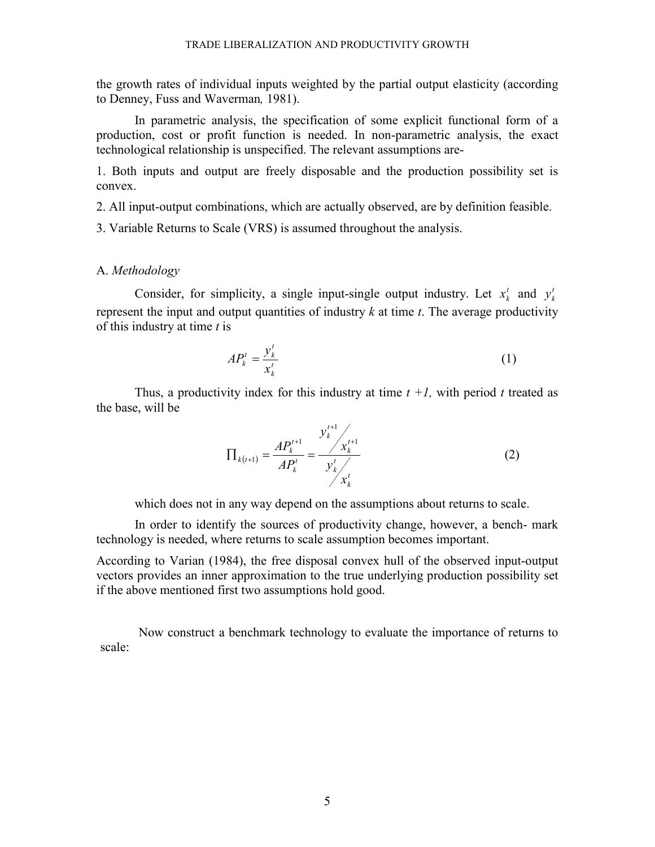the growth rates of individual inputs weighted by the partial output elasticity (according to Denney, Fuss and Waverman*,* 1981).

 In parametric analysis, the specification of some explicit functional form of a production, cost or profit function is needed. In non-parametric analysis, the exact technological relationship is unspecified. The relevant assumptions are-

1. Both inputs and output are freely disposable and the production possibility set is convex.

2. All input-output combinations, which are actually observed, are by definition feasible.

3. Variable Returns to Scale (VRS) is assumed throughout the analysis.

## A. *Methodology*

Consider, for simplicity, a single input-single output industry. Let  $x_k^t$  and  $y_k^t$ represent the input and output quantities of industry *k* at time *t*. The average productivity of this industry at time *t* is

$$
AP_k^t = \frac{y_k^t}{x_k^t} \tag{1}
$$

Thus, a productivity index for this industry at time  $t +1$ , with period t treated as the base, will be

$$
\Pi_{k(t+1)} = \frac{AP_k^{t+1}}{AP_k^t} = \frac{y_k^{t+1}}{y_k^t} \qquad (2)
$$

which does not in any way depend on the assumptions about returns to scale.

In order to identify the sources of productivity change, however, a bench- mark technology is needed, where returns to scale assumption becomes important.

According to Varian (1984), the free disposal convex hull of the observed input-output vectors provides an inner approximation to the true underlying production possibility set if the above mentioned first two assumptions hold good.

Now construct a benchmark technology to evaluate the importance of returns to scale: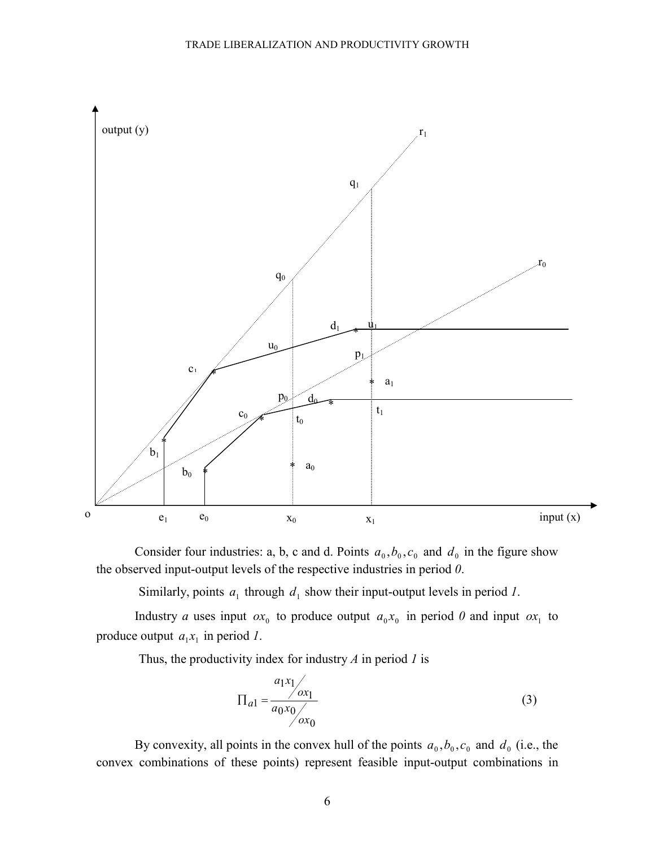

Consider four industries: a, b, c and d. Points  $a_0$ ,  $b_0$ ,  $c_0$  and  $d_0$  in the figure show the observed input-output levels of the respective industries in period *0*.

Similarly, points  $a_1$  through  $d_1$  show their input-output levels in period *1*.

Industry *a* uses input  $ox_0$  to produce output  $a_0x_0$  in period *0* and input  $ox_1$  to produce output  $a_1 x_1$  in period *1*.

Thus, the productivity index for industry *A* in period *1* is

$$
\Pi_{a1} = \frac{a_1 x_1}{a_0 x_0} \qquad (3)
$$

By convexity, all points in the convex hull of the points  $a_0$ ,  $b_0$ ,  $c_0$  and  $d_0$  (i.e., the convex combinations of these points) represent feasible input-output combinations in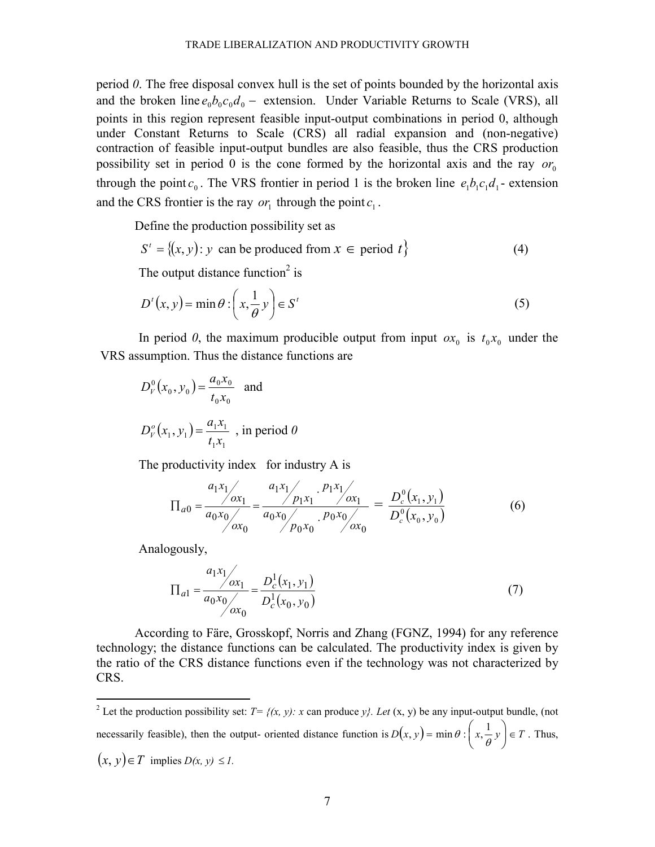period *0*. The free disposal convex hull is the set of points bounded by the horizontal axis and the broken line  $e_0b_0c_0d_0$  – extension. Under Variable Returns to Scale (VRS), all points in this region represent feasible input-output combinations in period 0, although under Constant Returns to Scale (CRS) all radial expansion and (non-negative) contraction of feasible input-output bundles are also feasible, thus the CRS production possibility set in period 0 is the cone formed by the horizontal axis and the ray  $or_0$ through the point  $c_0$ . The VRS frontier in period 1 is the broken line  $e_1b_1c_1d_1$ - extension and the CRS frontier is the ray  $or_1$  through the point  $c_1$ .

Define the production possibility set as

$$
S' = \{(x, y) : y \text{ can be produced from } x \in \text{period } t\}
$$
 (4)

The output distance function<sup>2</sup> is

$$
D^{t}(x, y) = \min \theta : \left(x, \frac{1}{\theta} y\right) \in S^{t}
$$
 (5)

In period 0, the maximum producible output from input  $\alpha x_0$  is  $t_0 x_0$  under the VRS assumption. Thus the distance functions are

$$
D_V^0(x_0, y_0) = \frac{a_0 x_0}{t_0 x_0} \text{ and}
$$
  

$$
D_V^o(x_1, y_1) = \frac{a_1 x_1}{t_1 x_1} \text{, in period } 0
$$

The productivity index for industry A is

$$
\Pi_{a0} = \frac{a_1 x_1}{a_0 x_0} = \frac{a_1 x_1}{a_0 x_0} = \frac{p_1 x_1}{a_0 x_0} \cdot \frac{p_1 x_1}{p_0 x_0} = \frac{D_c^0(x_1, y_1)}{D_c^0(x_0, y_0)}
$$
(6)

Analogously,

$$
\Pi_{a1} = \frac{a_1 x_1}{a_0 x_0} \frac{b_c^1(x_1, y_1)}{b_c^1(x_0, y_0)}
$$
(7)

According to Färe, Grosskopf, Norris and Zhang (FGNZ, 1994) for any reference technology; the distance functions can be calculated. The productivity index is given by the ratio of the CRS distance functions even if the technology was not characterized by CRS.

<sup>2</sup> Let the production possibility set: *T*=  $\{(x, y): x \text{ can produce } y\}$ . *Let*  $(x, y)$  be any input-output bundle, (not necessarily feasible), then the output- oriented distance function is  $D(x, y) = \min \theta : \left(x, \frac{1}{\theta}y\right) \in T$  $\left(x,\frac{1}{\theta},y\right)$ ſ θ  $(y, y) = \min \theta$  :  $\left(x, \frac{1}{2}y\right) \in T$ . Thus,  $(x, y) ∈ T$  implies *D(x, y)* ≤ *1*.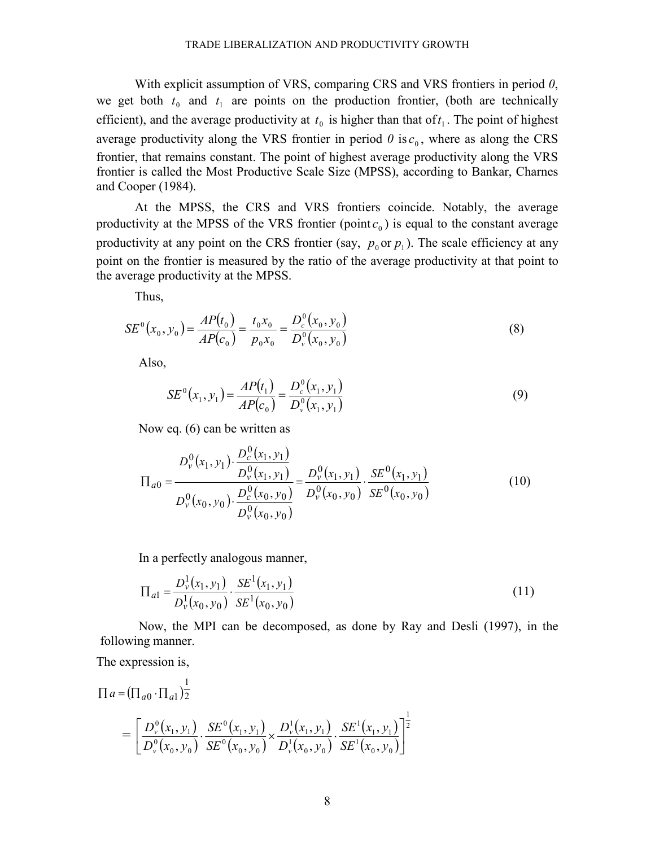With explicit assumption of VRS, comparing CRS and VRS frontiers in period *0*, we get both  $t_0$  and  $t_1$  are points on the production frontier, (both are technically efficient), and the average productivity at  $t_0$  is higher than that of  $t_1$ . The point of highest average productivity along the VRS frontier in period  $\theta$  is  $c_0$ , where as along the CRS frontier, that remains constant. The point of highest average productivity along the VRS frontier is called the Most Productive Scale Size (MPSS), according to Bankar, Charnes and Cooper (1984).

At the MPSS, the CRS and VRS frontiers coincide. Notably, the average productivity at the MPSS of the VRS frontier  $(point c_0)$  is equal to the constant average productivity at any point on the CRS frontier (say,  $p_0$  or  $p_1$ ). The scale efficiency at any point on the frontier is measured by the ratio of the average productivity at that point to the average productivity at the MPSS.

Thus,

$$
SE^{0}(x_{0}, y_{0}) = \frac{AP(t_{0})}{AP(c_{0})} = \frac{t_{0}x_{0}}{p_{0}x_{0}} = \frac{D_{c}^{0}(x_{0}, y_{0})}{D_{\nu}^{0}(x_{0}, y_{0})}
$$
(8)

Also,

$$
SE^{0}(x_{1}, y_{1}) = \frac{AP(t_{1})}{AP(c_{0})} = \frac{D_{c}^{0}(x_{1}, y_{1})}{D_{v}^{0}(x_{1}, y_{1})}
$$
(9)

Now eq. (6) can be written as

$$
\Pi_{a0} = \frac{D_v^0(x_1, y_1) \cdot \frac{D_c^0(x_1, y_1)}{D_v^0(x_1, y_1)}}{D_v^0(x_0, y_0) \cdot \frac{D_c^0(x_0, y_0)}{D_v^0(x_0, y_0)}} = \frac{D_v^0(x_1, y_1)}{D_v^0(x_0, y_0)} \cdot \frac{SE^0(x_1, y_1)}{SE^0(x_0, y_0)}
$$
(10)

In a perfectly analogous manner,

$$
\Pi_{a1} = \frac{D_v^1(x_1, y_1)}{D_v^1(x_0, y_0)} \cdot \frac{SE^1(x_1, y_1)}{SE^1(x_0, y_0)}
$$
(11)

Now, the MPI can be decomposed, as done by Ray and Desli (1997), in the following manner.

The expression is,

$$
\Pi a = (\Pi_{a0} \cdot \Pi_{a1}) \frac{1}{2}
$$
\n
$$
= \left[ \frac{D_v^0(x_1, y_1)}{D_v^0(x_0, y_0)} \cdot \frac{SE^0(x_1, y_1)}{SE^0(x_0, y_0)} \times \frac{D_v^1(x_1, y_1)}{D_v^1(x_0, y_0)} \cdot \frac{SE^1(x_1, y_1)}{SE^1(x_0, y_0)} \right]^{\frac{1}{2}}
$$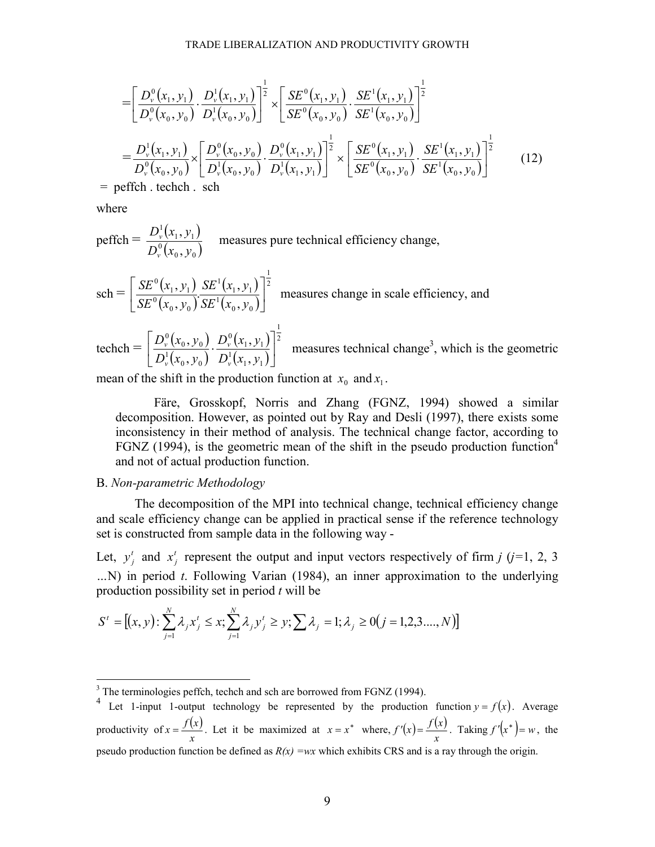$$
= \left[\frac{D_v^0(x_1, y_1)}{D_v^0(x_0, y_0)} \cdot \frac{D_v^1(x_1, y_1)}{D_v^1(x_0, y_0)}\right]^{\frac{1}{2}} \times \left[\frac{SE^0(x_1, y_1)}{SE^0(x_0, y_0)} \cdot \frac{SE^1(x_1, y_1)}{SE^1(x_0, y_0)}\right]^{\frac{1}{2}}
$$
  
\n
$$
= \frac{D_v^1(x_1, y_1)}{D_v^0(x_0, y_0)} \times \left[\frac{D_v^0(x_0, y_0)}{D_v^1(x_0, y_0)} \cdot \frac{D_v^0(x_1, y_1)}{D_v^1(x_1, y_1)}\right]^{\frac{1}{2}} \times \left[\frac{SE^0(x_1, y_1)}{SE^0(x_0, y_0)} \cdot \frac{SE^1(x_1, y_1)}{SE^1(x_0, y_0)}\right]^{\frac{1}{2}}
$$
(12)

= peffch . techch . sch

where

perfich = 
$$
\frac{D_v^1(x_1, y_1)}{D_v^0(x_0, y_0)}
$$
 measures pure technical efficiency change,

\nsch = 
$$
\left[ \frac{SE^0(x_1, y_1)}{SE^0(x_0, y_0)} \frac{SE^1(x_1, y_1)}{SE^1(x_0, y_0)} \right]^{\frac{1}{2}}
$$
 measures change in scale efficiency, and

\ntechch = 
$$
\left[ \frac{D_v^0(x_0, y_0)}{D_v^1(x_0, y_0)} \cdot \frac{D_v^0(x_1, y_1)}{D_v^1(x_1, y_1)} \right]^{\frac{1}{2}}
$$
 measures technical change<sup>3</sup>, which is the geometric

mean of the shift in the production function at  $x_0$  and  $x_1$ .

Färe, Grosskopf, Norris and Zhang (FGNZ, 1994) showed a similar decomposition. However, as pointed out by Ray and Desli (1997), there exists some inconsistency in their method of analysis. The technical change factor, according to FGNZ (1994), is the geometric mean of the shift in the pseudo production function<sup>4</sup> and not of actual production function.

## B. *Non-parametric Methodology*

The decomposition of the MPI into technical change, technical efficiency change and scale efficiency change can be applied in practical sense if the reference technology set is constructed from sample data in the following way -

Let,  $y_j^t$  and  $x_j^t$  represent the output and input vectors respectively of firm *j* (*j*=1, 2, 3 *…*N) in period *t*. Following Varian (1984), an inner approximation to the underlying production possibility set in period *t* will be

$$
S^{t} = [(x, y) : \sum_{j=1}^{N} \lambda_{j} x_{j}^{t} \leq x, \sum_{j=1}^{N} \lambda_{j} y_{j}^{t} \geq y, \sum \lambda_{j} = 1, \lambda_{j} \geq 0 (j = 1, 2, 3, ..., N)]
$$

<sup>&</sup>lt;sup>3</sup> The terminologies peffch, techch and sch are borrowed from FGNZ (1994).

<sup>&</sup>lt;sup>4</sup> Let 1-input 1-output technology be represented by the production function  $y = f(x)$ . Average productivity of  $x = \frac{f(x)}{x}$  $f(x) = \frac{f(x)}{x}$ . Let it be maximized at  $x = x^*$  where,  $f'(x) = \frac{f(x)}{x}$  $f'(x) = \frac{f(x)}{g(x)}$ . Taking  $f'(x^*) = w$ , the pseudo production function be defined as  $R(x) = wx$  which exhibits CRS and is a ray through the origin.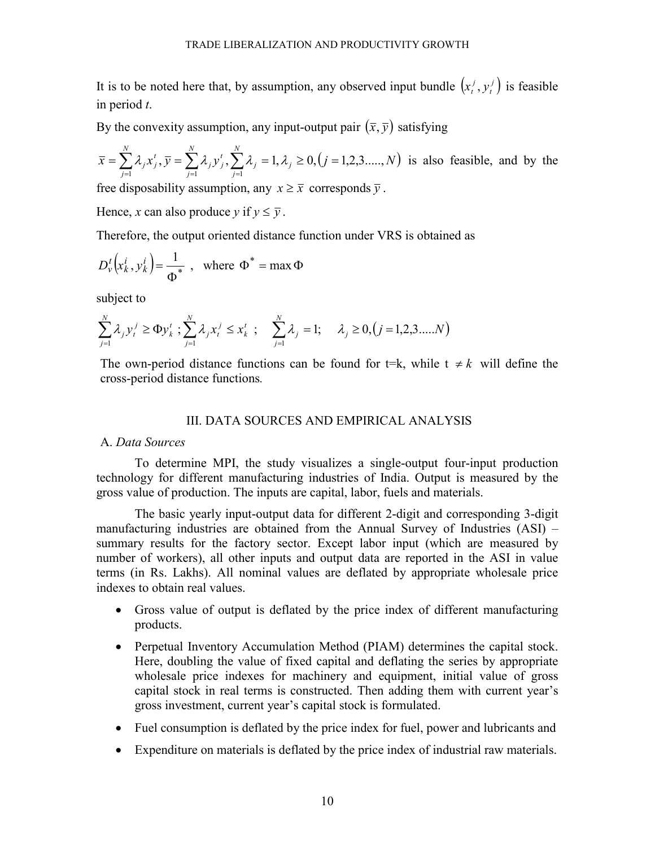It is to be noted here that, by assumption, any observed input bundle  $(x_i^j, y_i^j)$ *t j*  $x_t^j, y_t^j$  is feasible in period *t*.

By the convexity assumption, any input-output pair  $(\bar{x}, \bar{y})$  satisfying

$$
\bar{x} = \sum_{j=1}^{N} \lambda_j x_j^t, \bar{y} = \sum_{j=1}^{N} \lambda_j y_j^t, \sum_{j=1}^{N} \lambda_j = 1, \lambda_j \ge 0, (j = 1, 2, 3, \dots, N)
$$
 is also feasible, and by the

free disposability assumption, any  $x \geq \overline{x}$  corresponds  $\overline{y}$ .

Hence, *x* can also produce *y* if  $y \leq \overline{y}$ .

Therefore, the output oriented distance function under VRS is obtained as

$$
D_{\nu}^{t}\left(x_{k}^{i}, y_{k}^{i}\right) = \frac{1}{\Phi^{*}} , \text{ where } \Phi^{*} = \max \Phi
$$

subject to

$$
\sum_{j=1}^N \lambda_j y_i^j \ge \Phi y_k^t ; \sum_{j=1}^N \lambda_j x_i^j \le x_k^t ; \quad \sum_{j=1}^N \lambda_j = 1; \quad \lambda_j \ge 0, (j = 1, 2, 3, \dots, N)
$$

The own-period distance functions can be found for t=k, while  $t \neq k$  will define the cross-period distance functions*.* 

## III. DATA SOURCES AND EMPIRICAL ANALYSIS

# A. *Data Sources*

To determine MPI, the study visualizes a single-output four-input production technology for different manufacturing industries of India. Output is measured by the gross value of production. The inputs are capital, labor, fuels and materials.

The basic yearly input-output data for different 2-digit and corresponding 3-digit manufacturing industries are obtained from the Annual Survey of Industries (ASI) – summary results for the factory sector. Except labor input (which are measured by number of workers), all other inputs and output data are reported in the ASI in value terms (in Rs. Lakhs). All nominal values are deflated by appropriate wholesale price indexes to obtain real values.

- Gross value of output is deflated by the price index of different manufacturing products.
- Perpetual Inventory Accumulation Method (PIAM) determines the capital stock. Here, doubling the value of fixed capital and deflating the series by appropriate wholesale price indexes for machinery and equipment, initial value of gross capital stock in real terms is constructed. Then adding them with current year's gross investment, current year's capital stock is formulated.
- Fuel consumption is deflated by the price index for fuel, power and lubricants and
- Expenditure on materials is deflated by the price index of industrial raw materials.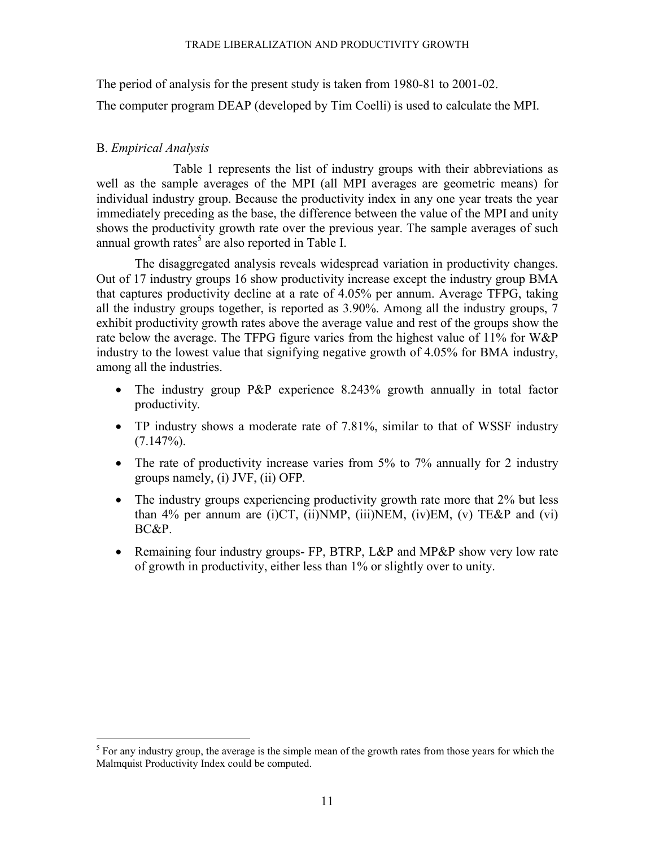The period of analysis for the present study is taken from 1980-81 to 2001-02.

The computer program DEAP (developed by Tim Coelli) is used to calculate the MPI.

# B. *Empirical Analysis*

 Table 1 represents the list of industry groups with their abbreviations as well as the sample averages of the MPI (all MPI averages are geometric means) for individual industry group. Because the productivity index in any one year treats the year immediately preceding as the base, the difference between the value of the MPI and unity shows the productivity growth rate over the previous year. The sample averages of such annual growth rates<sup>5</sup> are also reported in Table I.

The disaggregated analysis reveals widespread variation in productivity changes. Out of 17 industry groups 16 show productivity increase except the industry group BMA that captures productivity decline at a rate of 4.05% per annum. Average TFPG, taking all the industry groups together, is reported as 3.90%. Among all the industry groups, 7 exhibit productivity growth rates above the average value and rest of the groups show the rate below the average. The TFPG figure varies from the highest value of 11% for W&P industry to the lowest value that signifying negative growth of 4.05% for BMA industry, among all the industries.

- The industry group P&P experience 8.243% growth annually in total factor productivity*.*
- TP industry shows a moderate rate of 7.81%, similar to that of WSSF industry  $(7.147\%)$ .
- The rate of productivity increase varies from 5% to 7% annually for 2 industry groups namely, (i) JVF, (ii) OFP*.*
- The industry groups experiencing productivity growth rate more that 2% but less than  $4\%$  per annum are (i)CT, (ii)NMP, (iii)NEM, (iv)EM, (v) TE&P and (vi) BC&P.
- Remaining four industry groups- FP, BTRP, L&P and MP&P show very low rate of growth in productivity, either less than 1% or slightly over to unity.

<sup>&</sup>lt;sup>5</sup> For any industry group, the average is the simple mean of the growth rates from those years for which the Malmquist Productivity Index could be computed.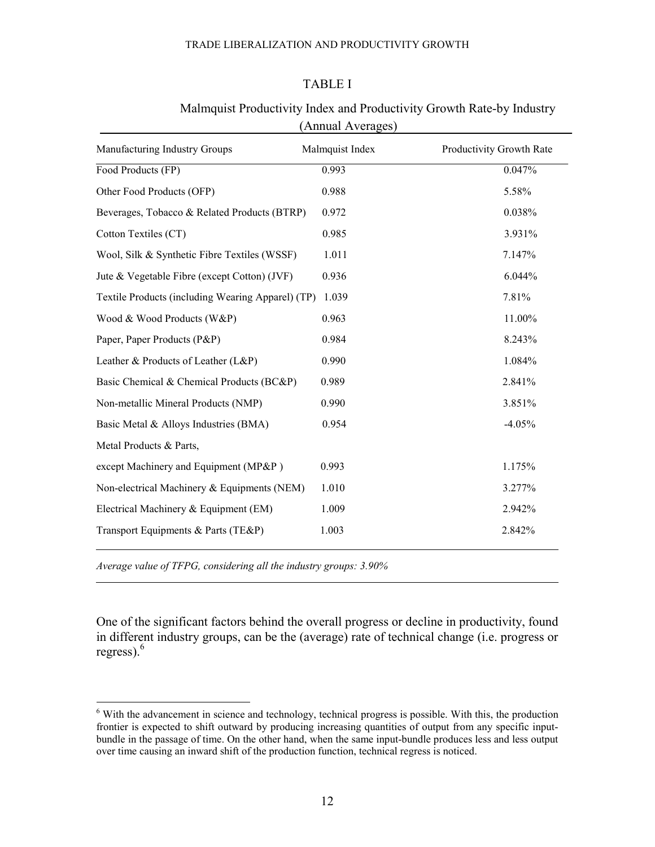# TABLE I

|                                                   | Allitual Avviagos) |                          |
|---------------------------------------------------|--------------------|--------------------------|
| Manufacturing Industry Groups                     | Malmquist Index    | Productivity Growth Rate |
| Food Products (FP)                                | 0.993              | 0.047%                   |
| Other Food Products (OFP)                         | 0.988              | 5.58%                    |
| Beverages, Tobacco & Related Products (BTRP)      | 0.972              | 0.038%                   |
| Cotton Textiles (CT)                              | 0.985              | 3.931%                   |
| Wool, Silk & Synthetic Fibre Textiles (WSSF)      | 1.011              | 7.147%                   |
| Jute & Vegetable Fibre (except Cotton) (JVF)      | 0.936              | 6.044%                   |
| Textile Products (including Wearing Apparel) (TP) | 1.039              | 7.81%                    |
| Wood & Wood Products (W&P)                        | 0.963              | 11.00%                   |
| Paper, Paper Products (P&P)                       | 0.984              | 8.243%                   |
| Leather & Products of Leather (L&P)               | 0.990              | 1.084%                   |
| Basic Chemical & Chemical Products (BC&P)         | 0.989              | 2.841%                   |
| Non-metallic Mineral Products (NMP)               | 0.990              | 3.851%                   |
| Basic Metal & Alloys Industries (BMA)             | 0.954              | $-4.05%$                 |
| Metal Products & Parts,                           |                    |                          |
| except Machinery and Equipment (MP&P)             | 0.993              | 1.175%                   |
| Non-electrical Machinery & Equipments (NEM)       | 1.010              | 3.277%                   |
| Electrical Machinery & Equipment (EM)             | 1.009              | 2.942%                   |
| Transport Equipments & Parts (TE&P)               | 1.003              | 2.842%                   |
|                                                   |                    |                          |

# Malmquist Productivity Index and Productivity Growth Rate-by Industry (Annual Averages)

*Average value of TFPG, considering all the industry groups: 3.90%* 

One of the significant factors behind the overall progress or decline in productivity, found in different industry groups, can be the (average) rate of technical change (i.e. progress or regress). $<sup>6</sup>$ </sup>

<sup>&</sup>lt;sup>6</sup> With the advancement in science and technology, technical progress is possible. With this, the production frontier is expected to shift outward by producing increasing quantities of output from any specific inputbundle in the passage of time. On the other hand, when the same input-bundle produces less and less output over time causing an inward shift of the production function, technical regress is noticed.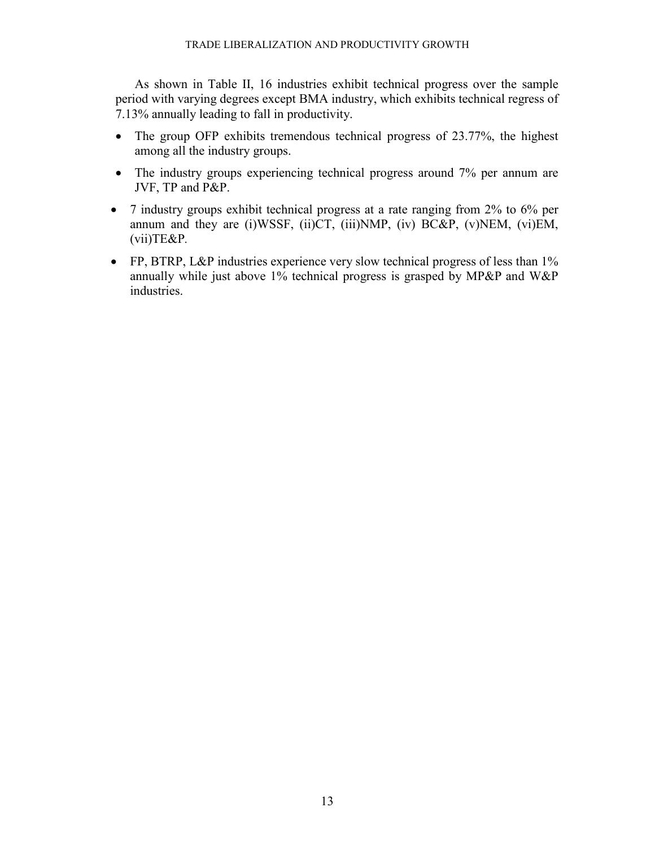As shown in Table II, 16 industries exhibit technical progress over the sample period with varying degrees except BMA industry, which exhibits technical regress of 7.13% annually leading to fall in productivity.

- The group OFP exhibits tremendous technical progress of 23.77%, the highest among all the industry groups.
- The industry groups experiencing technical progress around 7% per annum are JVF, TP and P&P.
- 7 industry groups exhibit technical progress at a rate ranging from 2% to 6% per annum and they are (i)WSSF, (ii)CT, (iii)NMP, (iv) BC&P, (v)NEM, (vi)EM, (vii)TE&P*.*
- FP, BTRP, L&P industries experience very slow technical progress of less than 1% annually while just above 1% technical progress is grasped by MP&P and W&P industries.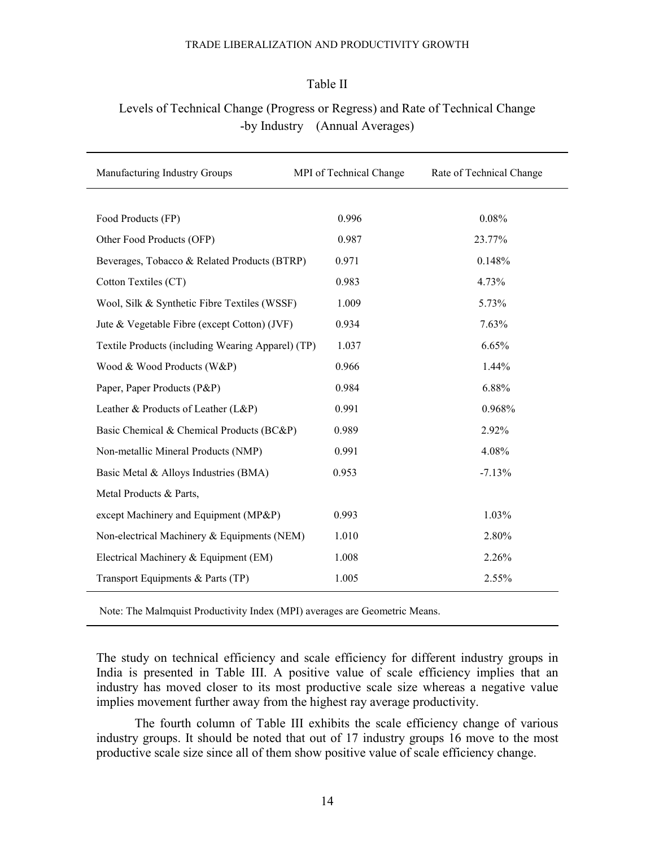## Table II

# Levels of Technical Change (Progress or Regress) and Rate of Technical Change -by Industry (Annual Averages)

| Manufacturing Industry Groups                     | MPI of Technical Change | Rate of Technical Change |
|---------------------------------------------------|-------------------------|--------------------------|
|                                                   |                         |                          |
| Food Products (FP)                                | 0.996                   | 0.08%                    |
| Other Food Products (OFP)                         | 0.987                   | 23.77%                   |
| Beverages, Tobacco & Related Products (BTRP)      | 0.971                   | 0.148%                   |
| Cotton Textiles (CT)                              | 0.983                   | 4.73%                    |
| Wool, Silk & Synthetic Fibre Textiles (WSSF)      | 1.009                   | 5.73%                    |
| Jute & Vegetable Fibre (except Cotton) (JVF)      | 0.934                   | 7.63%                    |
| Textile Products (including Wearing Apparel) (TP) | 1.037                   | 6.65%                    |
| Wood & Wood Products (W&P)                        | 0.966                   | 1.44%                    |
| Paper, Paper Products (P&P)                       | 0.984                   | 6.88%                    |
| Leather & Products of Leather (L&P)               | 0.991                   | 0.968%                   |
| Basic Chemical & Chemical Products (BC&P)         | 0.989                   | 2.92%                    |
| Non-metallic Mineral Products (NMP)               | 0.991                   | 4.08%                    |
| Basic Metal & Alloys Industries (BMA)             | 0.953                   | $-7.13%$                 |
| Metal Products & Parts,                           |                         |                          |
| except Machinery and Equipment (MP&P)             | 0.993                   | 1.03%                    |
| Non-electrical Machinery & Equipments (NEM)       | 1.010                   | 2.80%                    |
| Electrical Machinery & Equipment (EM)             | 1.008                   | 2.26%                    |
| Transport Equipments & Parts (TP)                 | 1.005                   | 2.55%                    |

Note: The Malmquist Productivity Index (MPI) averages are Geometric Means.

The study on technical efficiency and scale efficiency for different industry groups in India is presented in Table III. A positive value of scale efficiency implies that an industry has moved closer to its most productive scale size whereas a negative value implies movement further away from the highest ray average productivity.

The fourth column of Table III exhibits the scale efficiency change of various industry groups. It should be noted that out of 17 industry groups 16 move to the most productive scale size since all of them show positive value of scale efficiency change.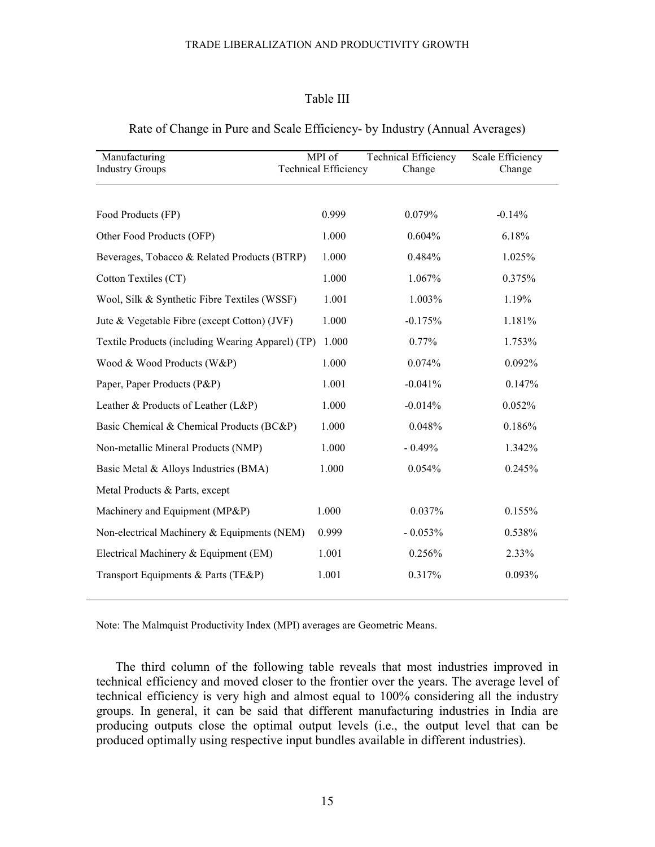## Table III

| Manufacturing                                     | MPI of                      | <b>Technical Efficiency</b> | Scale Efficiency |
|---------------------------------------------------|-----------------------------|-----------------------------|------------------|
| <b>Industry Groups</b>                            | <b>Technical Efficiency</b> | Change                      | Change           |
|                                                   |                             |                             |                  |
| Food Products (FP)                                | 0.999                       | 0.079%                      | $-0.14%$         |
| Other Food Products (OFP)                         | 1.000                       | 0.604%                      | 6.18%            |
| Beverages, Tobacco & Related Products (BTRP)      | 1.000                       | 0.484%                      | 1.025%           |
| Cotton Textiles (CT)                              | 1.000                       | 1.067%                      | 0.375%           |
| Wool, Silk & Synthetic Fibre Textiles (WSSF)      | 1.001                       | 1.003%                      | 1.19%            |
| Jute & Vegetable Fibre (except Cotton) (JVF)      | 1.000                       | $-0.175%$                   | 1.181%           |
| Textile Products (including Wearing Apparel) (TP) | 1.000                       | 0.77%                       | 1.753%           |
| Wood & Wood Products (W&P)                        | 1.000                       | 0.074%                      | 0.092%           |
| Paper, Paper Products (P&P)                       | 1.001                       | $-0.041%$                   | 0.147%           |
| Leather & Products of Leather (L&P)               | 1.000                       | $-0.014%$                   | 0.052%           |
| Basic Chemical & Chemical Products (BC&P)         | 1.000                       | 0.048%                      | 0.186%           |
| Non-metallic Mineral Products (NMP)               | 1.000                       | $-0.49%$                    | 1.342%           |
| Basic Metal & Alloys Industries (BMA)             | 1.000                       | 0.054%                      | 0.245%           |
| Metal Products & Parts, except                    |                             |                             |                  |
| Machinery and Equipment (MP&P)                    | 1.000                       | 0.037%                      | 0.155%           |
| Non-electrical Machinery & Equipments (NEM)       | 0.999                       | $-0.053%$                   | 0.538%           |
| Electrical Machinery & Equipment (EM)             | 1.001                       | 0.256%                      | 2.33%            |
| Transport Equipments & Parts (TE&P)               | 1.001                       | 0.317%                      | 0.093%           |
|                                                   |                             |                             |                  |

## Rate of Change in Pure and Scale Efficiency- by Industry (Annual Averages)

Note: The Malmquist Productivity Index (MPI) averages are Geometric Means.

The third column of the following table reveals that most industries improved in technical efficiency and moved closer to the frontier over the years. The average level of technical efficiency is very high and almost equal to 100% considering all the industry groups. In general, it can be said that different manufacturing industries in India are producing outputs close the optimal output levels (i.e., the output level that can be produced optimally using respective input bundles available in different industries).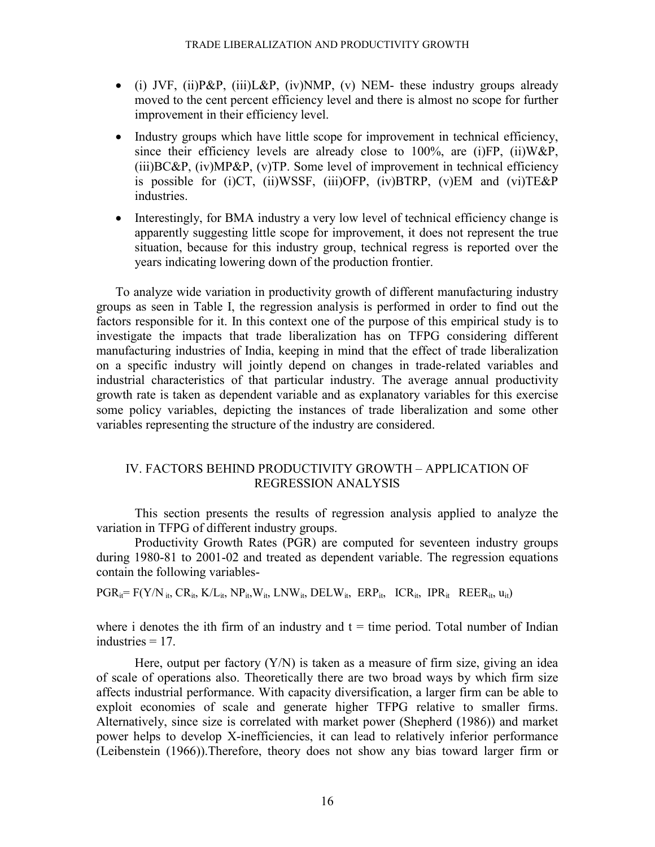- (i) JVF, (ii)P&P, (iii)L&P, (iv)NMP, (v) NEM- these industry groups already moved to the cent percent efficiency level and there is almost no scope for further improvement in their efficiency level.
- Industry groups which have little scope for improvement in technical efficiency, since their efficiency levels are already close to  $100\%$ , are  $(i)FP$ ,  $(ii)W\&P$ ,  $(iii)BC\&P$ ,  $(iv)MP\&P$ ,  $(v)TP$ . Some level of improvement in technical efficiency is possible for (i)CT, (ii)WSSF, (iii)OFP, (iv)BTRP, (v)EM and (vi)TE&P industries.
- Interestingly, for BMA industry a very low level of technical efficiency change is apparently suggesting little scope for improvement, it does not represent the true situation, because for this industry group, technical regress is reported over the years indicating lowering down of the production frontier.

To analyze wide variation in productivity growth of different manufacturing industry groups as seen in Table I, the regression analysis is performed in order to find out the factors responsible for it. In this context one of the purpose of this empirical study is to investigate the impacts that trade liberalization has on TFPG considering different manufacturing industries of India, keeping in mind that the effect of trade liberalization on a specific industry will jointly depend on changes in trade-related variables and industrial characteristics of that particular industry. The average annual productivity growth rate is taken as dependent variable and as explanatory variables for this exercise some policy variables, depicting the instances of trade liberalization and some other variables representing the structure of the industry are considered.

# IV. FACTORS BEHIND PRODUCTIVITY GROWTH – APPLICATION OF REGRESSION ANALYSIS

This section presents the results of regression analysis applied to analyze the variation in TFPG of different industry groups.

 Productivity Growth Rates (PGR) are computed for seventeen industry groups during 1980-81 to 2001-02 and treated as dependent variable. The regression equations contain the following variables-

 $PGR_{it} = F(Y/N_{it}, CR_{it}, K/L_{it}, NP_{it}, W_{it}, LNW_{it}, DELW_{it}, ERP_{it}, ICR_{it}, IPR_{it} REER_{it}, u_{it})$ 

where i denotes the ith firm of an industry and  $t =$  time period. Total number of Indian industries  $= 17$ .

Here, output per factory  $(Y/N)$  is taken as a measure of firm size, giving an idea of scale of operations also. Theoretically there are two broad ways by which firm size affects industrial performance. With capacity diversification, a larger firm can be able to exploit economies of scale and generate higher TFPG relative to smaller firms. Alternatively, since size is correlated with market power (Shepherd (1986)) and market power helps to develop X-inefficiencies, it can lead to relatively inferior performance (Leibenstein (1966)).Therefore, theory does not show any bias toward larger firm or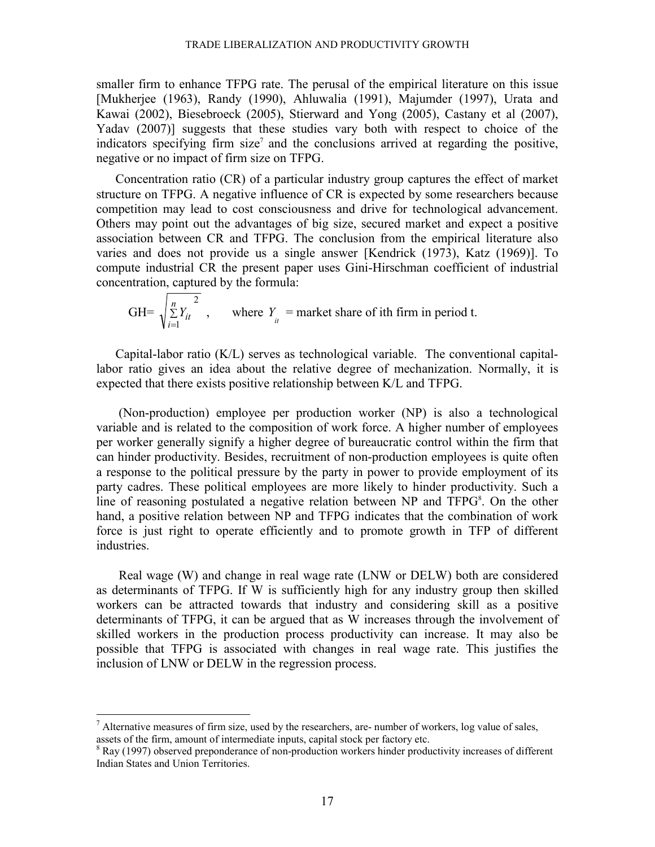smaller firm to enhance TFPG rate. The perusal of the empirical literature on this issue [Mukherjee (1963), Randy (1990), Ahluwalia (1991), Majumder (1997), Urata and Kawai (2002), Biesebroeck (2005), Stierward and Yong (2005), Castany et al (2007), Yadav (2007)] suggests that these studies vary both with respect to choice of the indicators specifying firm size<sup>7</sup> and the conclusions arrived at regarding the positive, negative or no impact of firm size on TFPG.

Concentration ratio (CR) of a particular industry group captures the effect of market structure on TFPG. A negative influence of CR is expected by some researchers because competition may lead to cost consciousness and drive for technological advancement. Others may point out the advantages of big size, secured market and expect a positive association between CR and TFPG. The conclusion from the empirical literature also varies and does not provide us a single answer [Kendrick (1973), Katz (1969)]. To compute industrial CR the present paper uses Gini-Hirschman coefficient of industrial concentration, captured by the formula:

 $GH=$ 2 1 ∑ = *n*  $\sum_{i=1}^{n} Y_{it}$ , where  $Y_{it}$  = market share of ith firm in period t.

Capital-labor ratio (K/L) serves as technological variable. The conventional capitallabor ratio gives an idea about the relative degree of mechanization. Normally, it is expected that there exists positive relationship between K/L and TFPG.

 (Non-production) employee per production worker (NP) is also a technological variable and is related to the composition of work force. A higher number of employees per worker generally signify a higher degree of bureaucratic control within the firm that can hinder productivity. Besides, recruitment of non-production employees is quite often a response to the political pressure by the party in power to provide employment of its party cadres. These political employees are more likely to hinder productivity. Such a line of reasoning postulated a negative relation between NP and TFPG<sup>8</sup>. On the other hand, a positive relation between NP and TFPG indicates that the combination of work force is just right to operate efficiently and to promote growth in TFP of different industries.

 Real wage (W) and change in real wage rate (LNW or DELW) both are considered as determinants of TFPG. If W is sufficiently high for any industry group then skilled workers can be attracted towards that industry and considering skill as a positive determinants of TFPG, it can be argued that as W increases through the involvement of skilled workers in the production process productivity can increase. It may also be possible that TFPG is associated with changes in real wage rate. This justifies the inclusion of LNW or DELW in the regression process.

 $\overline{a}$ 

 $<sup>7</sup>$  Alternative measures of firm size, used by the researchers, are- number of workers, log value of sales,</sup> assets of the firm, amount of intermediate inputs, capital stock per factory etc.

<sup>&</sup>lt;sup>8</sup> Ray (1997) observed preponderance of non-production workers hinder productivity increases of different Indian States and Union Territories.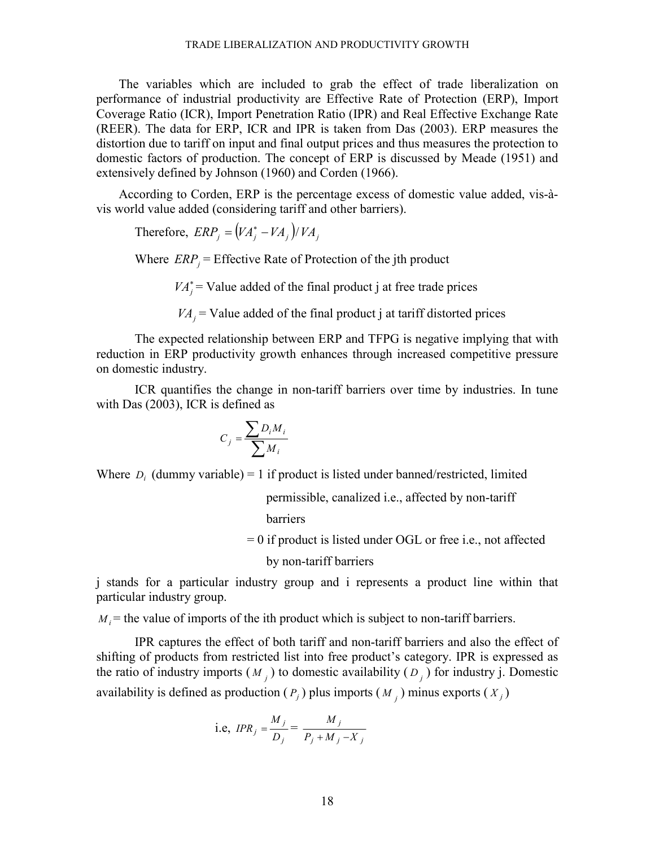The variables which are included to grab the effect of trade liberalization on performance of industrial productivity are Effective Rate of Protection (ERP), Import Coverage Ratio (ICR), Import Penetration Ratio (IPR) and Real Effective Exchange Rate (REER). The data for ERP, ICR and IPR is taken from Das (2003). ERP measures the distortion due to tariff on input and final output prices and thus measures the protection to domestic factors of production. The concept of ERP is discussed by Meade (1951) and extensively defined by Johnson (1960) and Corden (1966).

 According to Corden, ERP is the percentage excess of domestic value added, vis-àvis world value added (considering tariff and other barriers).

Therefore,  $\text{ERP}_j = (VA_j^* - VA_j)/VA_j$ 

Where  $ERP_j = Effective Rate of Protection of the jth product$ 

 $VA_i^*$  = Value added of the final product j at free trade prices

 $VA<sub>i</sub>$  = Value added of the final product j at tariff distorted prices

 The expected relationship between ERP and TFPG is negative implying that with reduction in ERP productivity growth enhances through increased competitive pressure on domestic industry.

ICR quantifies the change in non-tariff barriers over time by industries. In tune with Das (2003), ICR is defined as

$$
C_j = \frac{\sum D_i M_i}{\sum M_i}
$$

Where  $D_i$  (dummy variable) = 1 if product is listed under banned/restricted, limited

 permissible, canalized i.e., affected by non-tariff barriers

= 0 if product is listed under OGL or free i.e., not affected

by non-tariff barriers

j stands for a particular industry group and i represents a product line within that particular industry group.

 $M_i$  = the value of imports of the ith product which is subject to non-tariff barriers.

IPR captures the effect of both tariff and non-tariff barriers and also the effect of shifting of products from restricted list into free product's category. IPR is expressed as the ratio of industry imports  $(M_j)$  to domestic availability  $(D_j)$  for industry j. Domestic availability is defined as production  $(P_j)$  plus imports  $(M_j)$  minus exports  $(X_j)$ 

i.e, 
$$
IPR_j = \frac{M_j}{D_j} = \frac{M_j}{P_j + M_j - X_j}
$$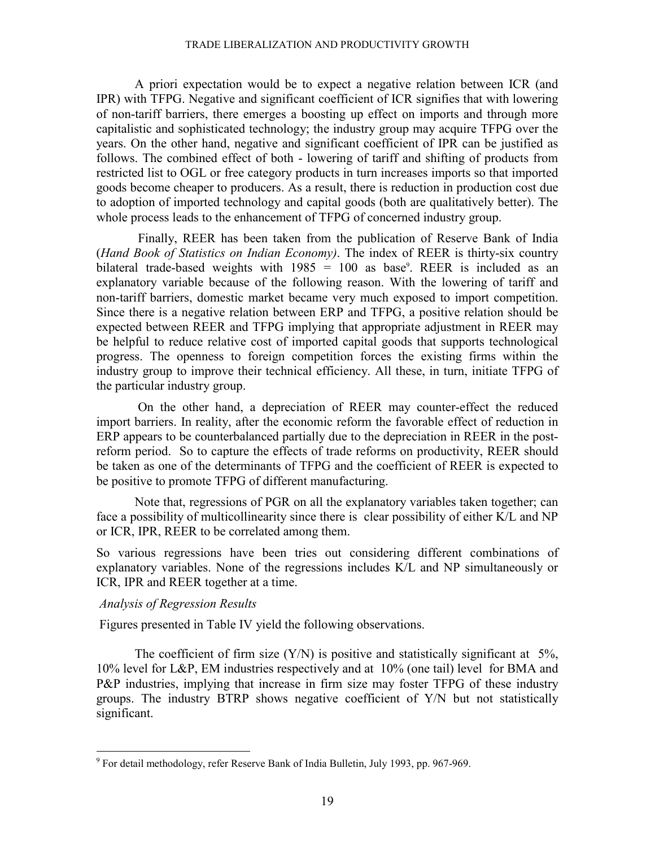A priori expectation would be to expect a negative relation between ICR (and IPR) with TFPG. Negative and significant coefficient of ICR signifies that with lowering of non-tariff barriers, there emerges a boosting up effect on imports and through more capitalistic and sophisticated technology; the industry group may acquire TFPG over the years. On the other hand, negative and significant coefficient of IPR can be justified as follows. The combined effect of both - lowering of tariff and shifting of products from restricted list to OGL or free category products in turn increases imports so that imported goods become cheaper to producers. As a result, there is reduction in production cost due to adoption of imported technology and capital goods (both are qualitatively better). The whole process leads to the enhancement of TFPG of concerned industry group.

 Finally, REER has been taken from the publication of Reserve Bank of India (*Hand Book of Statistics on Indian Economy)*. The index of REER is thirty-six country bilateral trade-based weights with  $1985 = 100$  as base<sup>9</sup>. REER is included as an explanatory variable because of the following reason. With the lowering of tariff and non-tariff barriers, domestic market became very much exposed to import competition. Since there is a negative relation between ERP and TFPG, a positive relation should be expected between REER and TFPG implying that appropriate adjustment in REER may be helpful to reduce relative cost of imported capital goods that supports technological progress. The openness to foreign competition forces the existing firms within the industry group to improve their technical efficiency. All these, in turn, initiate TFPG of the particular industry group.

 On the other hand, a depreciation of REER may counter-effect the reduced import barriers. In reality, after the economic reform the favorable effect of reduction in ERP appears to be counterbalanced partially due to the depreciation in REER in the postreform period. So to capture the effects of trade reforms on productivity, REER should be taken as one of the determinants of TFPG and the coefficient of REER is expected to be positive to promote TFPG of different manufacturing.

Note that, regressions of PGR on all the explanatory variables taken together; can face a possibility of multicollinearity since there is clear possibility of either K/L and NP or ICR, IPR, REER to be correlated among them.

So various regressions have been tries out considering different combinations of explanatory variables. None of the regressions includes K/L and NP simultaneously or ICR, IPR and REER together at a time.

## *Analysis of Regression Results*

Figures presented in Table IV yield the following observations.

The coefficient of firm size  $(Y/N)$  is positive and statistically significant at 5%, 10% level for L&P, EM industries respectively and at 10% (one tail) level for BMA and P&P industries, implying that increase in firm size may foster TFPG of these industry groups. The industry BTRP shows negative coefficient of Y/N but not statistically significant.

 9 For detail methodology, refer Reserve Bank of India Bulletin, July 1993, pp. 967-969.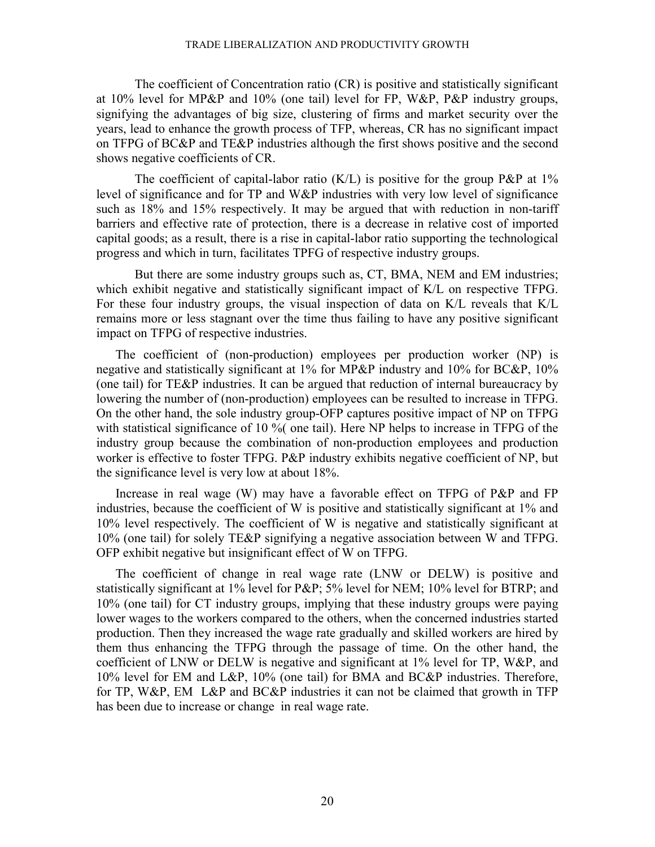The coefficient of Concentration ratio (CR) is positive and statistically significant at 10% level for MP&P and 10% (one tail) level for FP, W&P, P&P industry groups, signifying the advantages of big size, clustering of firms and market security over the years, lead to enhance the growth process of TFP, whereas, CR has no significant impact on TFPG of BC&P and TE&P industries although the first shows positive and the second shows negative coefficients of CR.

The coefficient of capital-labor ratio  $(K/L)$  is positive for the group P&P at 1% level of significance and for TP and W&P industries with very low level of significance such as 18% and 15% respectively. It may be argued that with reduction in non-tariff barriers and effective rate of protection, there is a decrease in relative cost of imported capital goods; as a result, there is a rise in capital-labor ratio supporting the technological progress and which in turn, facilitates TPFG of respective industry groups.

But there are some industry groups such as, CT, BMA, NEM and EM industries; which exhibit negative and statistically significant impact of K/L on respective TFPG. For these four industry groups, the visual inspection of data on K/L reveals that K/L remains more or less stagnant over the time thus failing to have any positive significant impact on TFPG of respective industries.

The coefficient of (non-production) employees per production worker (NP) is negative and statistically significant at 1% for MP&P industry and 10% for BC&P, 10% (one tail) for TE&P industries. It can be argued that reduction of internal bureaucracy by lowering the number of (non-production) employees can be resulted to increase in TFPG. On the other hand, the sole industry group-OFP captures positive impact of NP on TFPG with statistical significance of 10 %( one tail). Here NP helps to increase in TFPG of the industry group because the combination of non-production employees and production worker is effective to foster TFPG. P&P industry exhibits negative coefficient of NP, but the significance level is very low at about 18%.

Increase in real wage (W) may have a favorable effect on TFPG of P&P and FP industries, because the coefficient of W is positive and statistically significant at 1% and 10% level respectively. The coefficient of W is negative and statistically significant at 10% (one tail) for solely TE&P signifying a negative association between W and TFPG. OFP exhibit negative but insignificant effect of W on TFPG.

The coefficient of change in real wage rate (LNW or DELW) is positive and statistically significant at 1% level for P&P; 5% level for NEM; 10% level for BTRP; and 10% (one tail) for CT industry groups, implying that these industry groups were paying lower wages to the workers compared to the others, when the concerned industries started production. Then they increased the wage rate gradually and skilled workers are hired by them thus enhancing the TFPG through the passage of time. On the other hand, the coefficient of LNW or DELW is negative and significant at 1% level for TP, W&P, and 10% level for EM and L&P, 10% (one tail) for BMA and BC&P industries. Therefore, for TP, W&P, EM L&P and BC&P industries it can not be claimed that growth in TFP has been due to increase or change in real wage rate.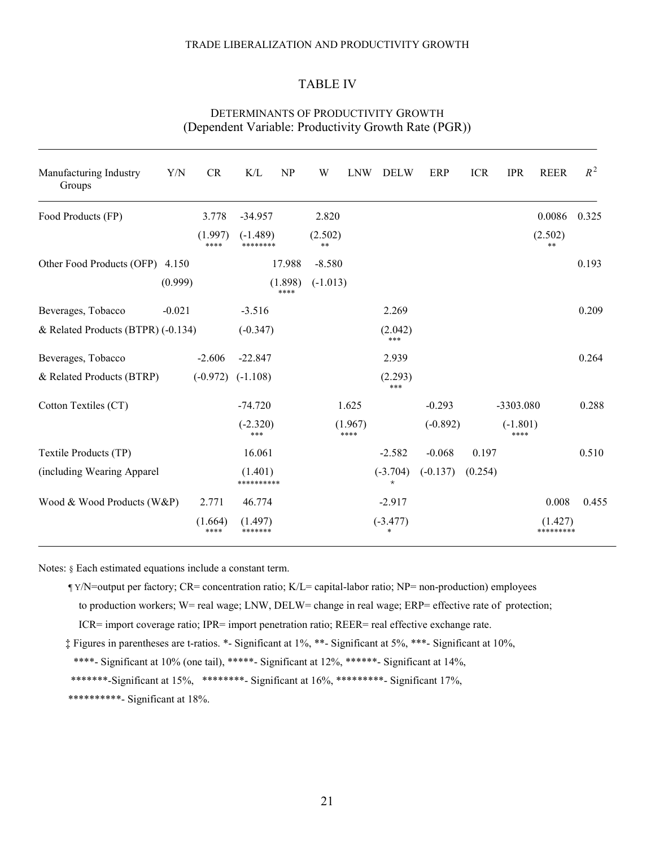## TABLE IV

| Manufacturing Industry<br>Groups   | Y/N      | CR              | K/L                    | NP              | W               | <b>LNW</b>      | <b>DELW</b>              | ERP        | <b>ICR</b> | <b>IPR</b>         | <b>REER</b>          | $R^2$ |
|------------------------------------|----------|-----------------|------------------------|-----------------|-----------------|-----------------|--------------------------|------------|------------|--------------------|----------------------|-------|
| Food Products (FP)                 |          | 3.778           | $-34.957$              |                 | 2.820           |                 |                          |            |            |                    | 0.0086               | 0.325 |
|                                    |          | (1.997)<br>**** | $(-1.489)$<br>******** |                 | (2.502)<br>$**$ |                 |                          |            |            |                    | (2.502)<br>$***$     |       |
| Other Food Products (OFP) 4.150    |          |                 |                        | 17.988          | $-8.580$        |                 |                          |            |            |                    |                      | 0.193 |
|                                    | (0.999)  |                 |                        | (1.898)<br>**** | $(-1.013)$      |                 |                          |            |            |                    |                      |       |
| Beverages, Tobacco                 | $-0.021$ |                 | $-3.516$               |                 |                 |                 | 2.269                    |            |            |                    |                      | 0.209 |
| & Related Products (BTPR) (-0.134) |          |                 | $(-0.347)$             |                 |                 |                 | (2.042)<br>***           |            |            |                    |                      |       |
| Beverages, Tobacco                 |          | $-2.606$        | $-22.847$              |                 |                 |                 | 2.939                    |            |            |                    |                      | 0.264 |
| & Related Products (BTRP)          |          | $(-0.972)$      | $(-1.108)$             |                 |                 |                 | (2.293)<br>***           |            |            |                    |                      |       |
| Cotton Textiles (CT)               |          |                 | $-74.720$              |                 |                 | 1.625           |                          | $-0.293$   |            | -3303.080          |                      | 0.288 |
|                                    |          |                 | $(-2.320)$<br>***      |                 |                 | (1.967)<br>**** |                          | $(-0.892)$ |            | $(-1.801)$<br>**** |                      |       |
| Textile Products (TP)              |          |                 | 16.061                 |                 |                 |                 | $-2.582$                 | $-0.068$   | 0.197      |                    |                      | 0.510 |
| (including Wearing Apparel         |          |                 | (1.401)<br>**********  |                 |                 |                 | $(-3.704)$<br>$^{\star}$ | $(-0.137)$ | (0.254)    |                    |                      |       |
| Wood & Wood Products (W&P)         |          | 2.771           | 46.774                 |                 |                 |                 | $-2.917$                 |            |            |                    | 0.008                | 0.455 |
|                                    |          | (1.664)<br>**** | (1.497)<br>*******     |                 |                 |                 | $(-3.477)$<br>*          |            |            |                    | (1.427)<br>********* |       |

## DETERMINANTS OF PRODUCTIVITY GROWTH (Dependent Variable: Productivity Growth Rate (PGR))

Notes: § Each estimated equations include a constant term.

İ

- ¶ Y/N=output per factory; CR= concentration ratio; K/L= capital-labor ratio; NP= non-production) employees to production workers; W= real wage; LNW, DELW= change in real wage; ERP= effective rate of protection; ICR= import coverage ratio; IPR= import penetration ratio; REER= real effective exchange rate.
- ‡ Figures in parentheses are t-ratios. \*- Significant at 1%, \*\*- Significant at 5%, \*\*\*- Significant at 10%,

\*\*\*\*- Significant at 10% (one tail), \*\*\*\*\*- Significant at 12%, \*\*\*\*\*\*- Significant at 14%,

- \*\*\*\*\*\*\*-Significant at 15%, \*\*\*\*\*\*\*\*- Significant at 16%, \*\*\*\*\*\*\*\*\*- Significant 17%,
- \*\*\*\*\*\*\*\*\*\*- Significant at 18%.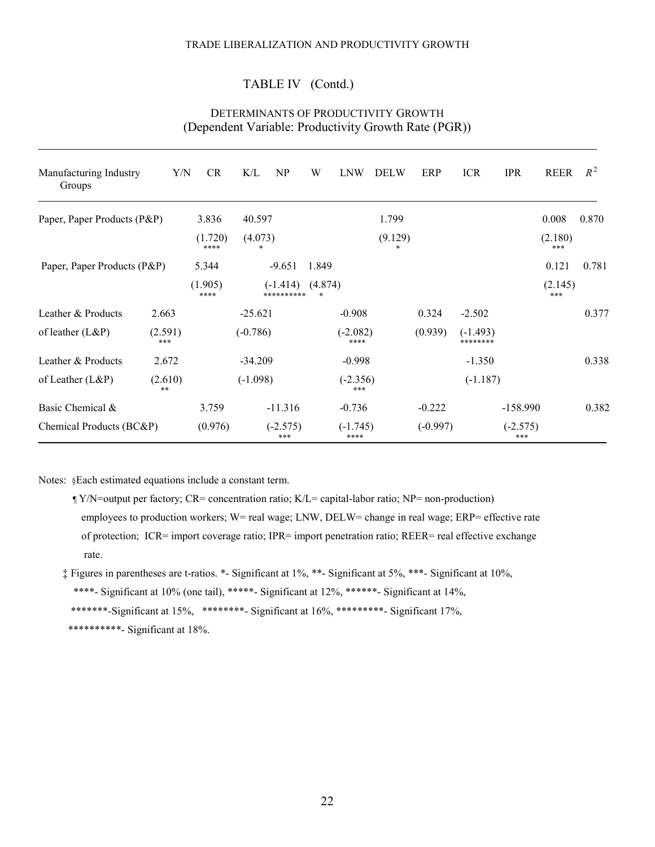# TABLE IV (Contd.)

| Manufacturing Industry<br>Groups | Y/N            | <b>CR</b>       | K/L<br>NP               | W       | <b>LNW</b>         | <b>DELW</b> | ERP        | <b>ICR</b>             | <b>IPR</b>        | <b>REER</b>    | $R^2$ |
|----------------------------------|----------------|-----------------|-------------------------|---------|--------------------|-------------|------------|------------------------|-------------------|----------------|-------|
| Paper, Paper Products (P&P)      |                | 3.836           | 40.597                  |         |                    | 1.799       |            |                        |                   | 0.008          | 0.870 |
|                                  |                | (1.720)<br>**** | (4.073)                 |         |                    | (9.129)     |            |                        |                   | (2.180)<br>*** |       |
| Paper, Paper Products (P&P)      |                | 5.344           | $-9.651$                | 1.849   |                    |             |            |                        |                   | 0.121          | 0.781 |
|                                  |                | (1.905)<br>**** | $(-1.414)$<br>********* | (4.874) |                    |             |            |                        |                   | (2.145)<br>*** |       |
| Leather & Products               | 2.663          |                 | $-25.621$               |         | $-0.908$           |             | 0.324      | $-2.502$               |                   |                | 0.377 |
| of leather (L&P)                 | (2.591)<br>*** |                 | $(-0.786)$              |         | $(-2.082)$<br>**** |             | (0.939)    | $(-1.493)$<br>******** |                   |                |       |
| Leather & Products               | 2.672          |                 | $-34.209$               |         | $-0.998$           |             |            | $-1.350$               |                   |                | 0.338 |
| of Leather (L&P)                 | (2.610)<br>**  |                 | $(-1.098)$              |         | $(-2.356)$<br>***  |             |            | $(-1.187)$             |                   |                |       |
| Basic Chemical &                 |                | 3.759           | $-11.316$               |         | $-0.736$           |             | $-0.222$   |                        | $-158.990$        |                | 0.382 |
| Chemical Products (BC&P)         |                | (0.976)         | $(-2.575)$<br>***       |         | $(-1.745)$<br>**** |             | $(-0.997)$ |                        | $(-2.575)$<br>*** |                |       |

# DETERMINANTS OF PRODUCTIVITY GROWTH (Dependent Variable: Productivity Growth Rate (PGR))

Notes: §Each estimated equations include a constant term.

- ¶ Y/N=output per factory; CR= concentration ratio; K/L= capital-labor ratio; NP= non-production) employees to production workers; W= real wage; LNW, DELW= change in real wage; ERP= effective rate of protection; ICR= import coverage ratio; IPR= import penetration ratio; REER= real effective exchange rate.
- ‡ Figures in parentheses are t-ratios. \*- Significant at 1%, \*\*- Significant at 5%, \*\*\*- Significant at 10%, \*\*\*\*- Significant at 10% (one tail), \*\*\*\*\*- Significant at 12%, \*\*\*\*\*\*- Significant at 14%, \*\*\*\*\*\*\*-Significant at 15%, \*\*\*\*\*\*\*\*- Significant at 16%, \*\*\*\*\*\*\*\*\*- Significant 17%, \*\*\*\*\*\*\*\*\*\*- Significant at 18%.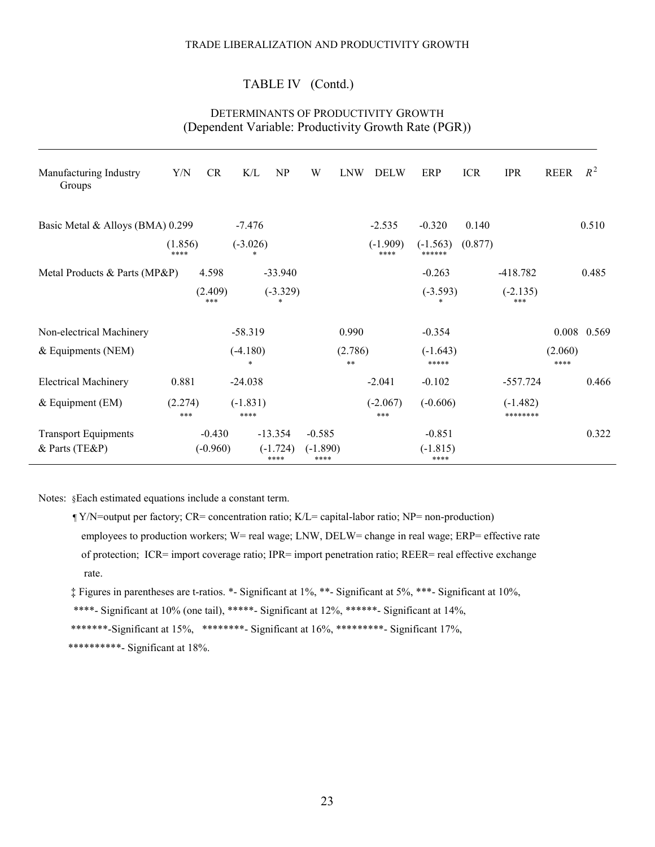# TABLE IV (Contd.)

# DETERMINANTS OF PRODUCTIVITY GROWTH (Dependent Variable: Productivity Growth Rate (PGR))

| Manufacturing Industry<br>Groups | Y/N             | <b>CR</b>      | K/L                  | NP                 | W                  | <b>LNW</b>      | <b>DELW</b>        | ERP                  | <b>ICR</b> | <b>IPR</b>             | <b>REER</b>     | $R^2$       |
|----------------------------------|-----------------|----------------|----------------------|--------------------|--------------------|-----------------|--------------------|----------------------|------------|------------------------|-----------------|-------------|
| Basic Metal & Alloys (BMA) 0.299 |                 |                | $-7.476$             |                    |                    |                 | $-2.535$           | $-0.320$             | 0.140      |                        |                 | 0.510       |
|                                  | (1.856)<br>**** |                | $(-3.026)$<br>$\ast$ |                    |                    |                 | $(-1.909)$<br>**** | $(-1.563)$<br>****** | (0.877)    |                        |                 |             |
| Metal Products & Parts (MP&P)    |                 | 4.598          |                      | $-33.940$          |                    |                 |                    | $-0.263$             |            | $-418.782$             |                 | 0.485       |
|                                  |                 | (2.409)<br>*** |                      | $(-3.329)$         |                    |                 |                    | $(-3.593)$           |            | $(-2.135)$<br>***      |                 |             |
| Non-electrical Machinery         |                 |                | $-58.319$            |                    |                    | 0.990           |                    | $-0.354$             |            |                        |                 | 0.008 0.569 |
| & Equipments (NEM)               |                 |                | $(-4.180)$<br>$\ast$ |                    |                    | (2.786)<br>$**$ |                    | $(-1.643)$<br>*****  |            |                        | (2.060)<br>**** |             |
| <b>Electrical Machinery</b>      | 0.881           |                | $-24.038$            |                    |                    |                 | $-2.041$           | $-0.102$             |            | $-557.724$             |                 | 0.466       |
| $&$ Equipment (EM)               | (2.274)<br>***  |                | $(-1.831)$<br>****   |                    |                    |                 | $(-2.067)$<br>***  | $(-0.606)$           |            | $(-1.482)$<br>******** |                 |             |
| <b>Transport Equipments</b>      |                 | $-0.430$       |                      | $-13.354$          | $-0.585$           |                 |                    | $-0.851$             |            |                        |                 | 0.322       |
| & Parts (TE&P)                   |                 | $(-0.960)$     |                      | $(-1.724)$<br>**** | $(-1.890)$<br>**** |                 |                    | $(-1.815)$<br>****   |            |                        |                 |             |

Notes: §Each estimated equations include a constant term.

 ¶ Y/N=output per factory; CR= concentration ratio; K/L= capital-labor ratio; NP= non-production) employees to production workers; W= real wage; LNW, DELW= change in real wage; ERP= effective rate of protection; ICR= import coverage ratio; IPR= import penetration ratio; REER= real effective exchange rate.

‡ Figures in parentheses are t-ratios. \*- Significant at 1%, \*\*- Significant at 5%, \*\*\*- Significant at 10%,

\*\*\*\*- Significant at 10% (one tail), \*\*\*\*\*- Significant at 12%, \*\*\*\*\*\*- Significant at 14%,

\*\*\*\*\*\*\*-Significant at 15%, \*\*\*\*\*\*\*\*- Significant at 16%, \*\*\*\*\*\*\*\*\*- Significant 17%,

\*\*\*\*\*\*\*\*\*\*- Significant at 18%.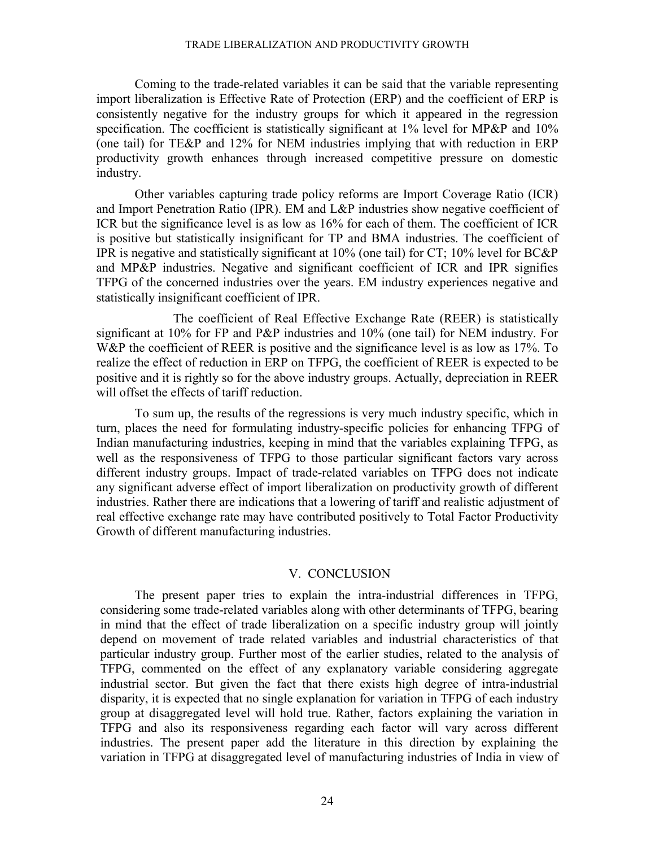Coming to the trade-related variables it can be said that the variable representing import liberalization is Effective Rate of Protection (ERP) and the coefficient of ERP is consistently negative for the industry groups for which it appeared in the regression specification. The coefficient is statistically significant at 1% level for MP&P and 10% (one tail) for TE&P and 12% for NEM industries implying that with reduction in ERP productivity growth enhances through increased competitive pressure on domestic industry.

 Other variables capturing trade policy reforms are Import Coverage Ratio (ICR) and Import Penetration Ratio (IPR). EM and L&P industries show negative coefficient of ICR but the significance level is as low as 16% for each of them. The coefficient of ICR is positive but statistically insignificant for TP and BMA industries. The coefficient of IPR is negative and statistically significant at 10% (one tail) for CT; 10% level for BC&P and MP&P industries. Negative and significant coefficient of ICR and IPR signifies TFPG of the concerned industries over the years. EM industry experiences negative and statistically insignificant coefficient of IPR.

 The coefficient of Real Effective Exchange Rate (REER) is statistically significant at 10% for FP and P&P industries and 10% (one tail) for NEM industry. For W&P the coefficient of REER is positive and the significance level is as low as 17%. To realize the effect of reduction in ERP on TFPG, the coefficient of REER is expected to be positive and it is rightly so for the above industry groups. Actually, depreciation in REER will offset the effects of tariff reduction.

To sum up, the results of the regressions is very much industry specific, which in turn, places the need for formulating industry-specific policies for enhancing TFPG of Indian manufacturing industries, keeping in mind that the variables explaining TFPG, as well as the responsiveness of TFPG to those particular significant factors vary across different industry groups. Impact of trade-related variables on TFPG does not indicate any significant adverse effect of import liberalization on productivity growth of different industries. Rather there are indications that a lowering of tariff and realistic adjustment of real effective exchange rate may have contributed positively to Total Factor Productivity Growth of different manufacturing industries.

#### V. CONCLUSION

The present paper tries to explain the intra-industrial differences in TFPG, considering some trade-related variables along with other determinants of TFPG, bearing in mind that the effect of trade liberalization on a specific industry group will jointly depend on movement of trade related variables and industrial characteristics of that particular industry group. Further most of the earlier studies, related to the analysis of TFPG, commented on the effect of any explanatory variable considering aggregate industrial sector. But given the fact that there exists high degree of intra-industrial disparity, it is expected that no single explanation for variation in TFPG of each industry group at disaggregated level will hold true. Rather, factors explaining the variation in TFPG and also its responsiveness regarding each factor will vary across different industries. The present paper add the literature in this direction by explaining the variation in TFPG at disaggregated level of manufacturing industries of India in view of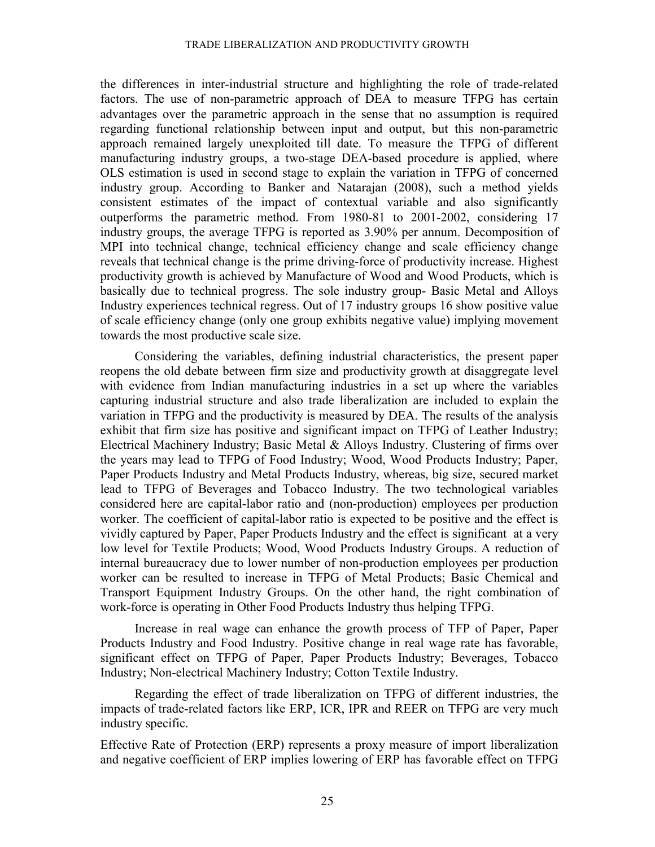the differences in inter-industrial structure and highlighting the role of trade-related factors. The use of non-parametric approach of DEA to measure TFPG has certain advantages over the parametric approach in the sense that no assumption is required regarding functional relationship between input and output, but this non-parametric approach remained largely unexploited till date. To measure the TFPG of different manufacturing industry groups, a two-stage DEA-based procedure is applied, where OLS estimation is used in second stage to explain the variation in TFPG of concerned industry group. According to Banker and Natarajan (2008), such a method yields consistent estimates of the impact of contextual variable and also significantly outperforms the parametric method. From 1980-81 to 2001-2002, considering 17 industry groups, the average TFPG is reported as 3.90% per annum. Decomposition of MPI into technical change, technical efficiency change and scale efficiency change reveals that technical change is the prime driving-force of productivity increase. Highest productivity growth is achieved by Manufacture of Wood and Wood Products, which is basically due to technical progress. The sole industry group- Basic Metal and Alloys Industry experiences technical regress. Out of 17 industry groups 16 show positive value of scale efficiency change (only one group exhibits negative value) implying movement towards the most productive scale size.

Considering the variables, defining industrial characteristics, the present paper reopens the old debate between firm size and productivity growth at disaggregate level with evidence from Indian manufacturing industries in a set up where the variables capturing industrial structure and also trade liberalization are included to explain the variation in TFPG and the productivity is measured by DEA. The results of the analysis exhibit that firm size has positive and significant impact on TFPG of Leather Industry; Electrical Machinery Industry; Basic Metal & Alloys Industry. Clustering of firms over the years may lead to TFPG of Food Industry; Wood, Wood Products Industry; Paper, Paper Products Industry and Metal Products Industry, whereas, big size, secured market lead to TFPG of Beverages and Tobacco Industry. The two technological variables considered here are capital-labor ratio and (non-production) employees per production worker. The coefficient of capital-labor ratio is expected to be positive and the effect is vividly captured by Paper, Paper Products Industry and the effect is significant at a very low level for Textile Products; Wood, Wood Products Industry Groups. A reduction of internal bureaucracy due to lower number of non-production employees per production worker can be resulted to increase in TFPG of Metal Products; Basic Chemical and Transport Equipment Industry Groups. On the other hand, the right combination of work-force is operating in Other Food Products Industry thus helping TFPG.

Increase in real wage can enhance the growth process of TFP of Paper, Paper Products Industry and Food Industry. Positive change in real wage rate has favorable, significant effect on TFPG of Paper, Paper Products Industry; Beverages, Tobacco Industry; Non-electrical Machinery Industry; Cotton Textile Industry.

 Regarding the effect of trade liberalization on TFPG of different industries, the impacts of trade-related factors like ERP, ICR, IPR and REER on TFPG are very much industry specific.

Effective Rate of Protection (ERP) represents a proxy measure of import liberalization and negative coefficient of ERP implies lowering of ERP has favorable effect on TFPG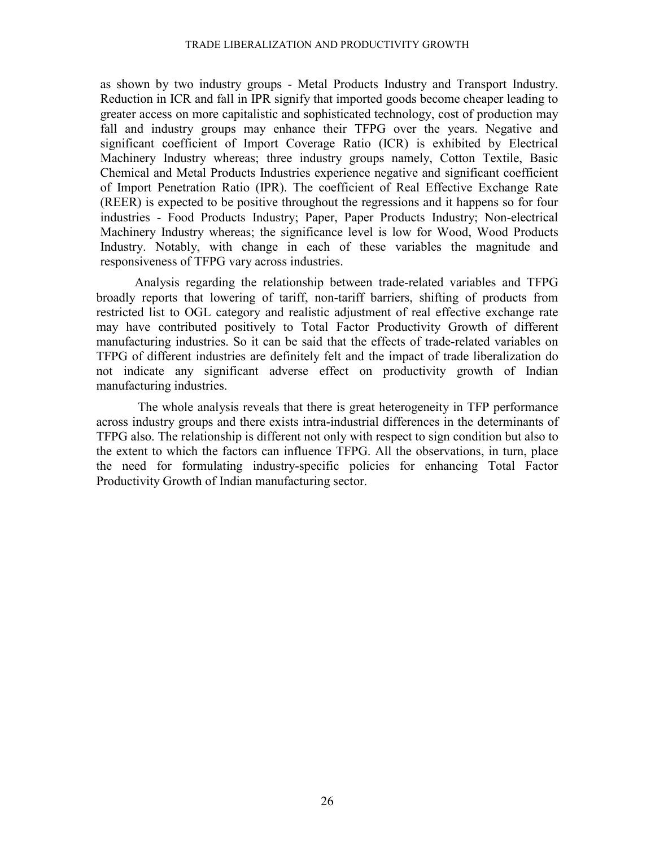as shown by two industry groups - Metal Products Industry and Transport Industry. Reduction in ICR and fall in IPR signify that imported goods become cheaper leading to greater access on more capitalistic and sophisticated technology, cost of production may fall and industry groups may enhance their TFPG over the years. Negative and significant coefficient of Import Coverage Ratio (ICR) is exhibited by Electrical Machinery Industry whereas; three industry groups namely, Cotton Textile, Basic Chemical and Metal Products Industries experience negative and significant coefficient of Import Penetration Ratio (IPR). The coefficient of Real Effective Exchange Rate (REER) is expected to be positive throughout the regressions and it happens so for four industries - Food Products Industry; Paper, Paper Products Industry; Non-electrical Machinery Industry whereas; the significance level is low for Wood, Wood Products Industry. Notably, with change in each of these variables the magnitude and responsiveness of TFPG vary across industries.

Analysis regarding the relationship between trade-related variables and TFPG broadly reports that lowering of tariff, non-tariff barriers, shifting of products from restricted list to OGL category and realistic adjustment of real effective exchange rate may have contributed positively to Total Factor Productivity Growth of different manufacturing industries. So it can be said that the effects of trade-related variables on TFPG of different industries are definitely felt and the impact of trade liberalization do not indicate any significant adverse effect on productivity growth of Indian manufacturing industries.

 The whole analysis reveals that there is great heterogeneity in TFP performance across industry groups and there exists intra-industrial differences in the determinants of TFPG also. The relationship is different not only with respect to sign condition but also to the extent to which the factors can influence TFPG. All the observations, in turn, place the need for formulating industry-specific policies for enhancing Total Factor Productivity Growth of Indian manufacturing sector.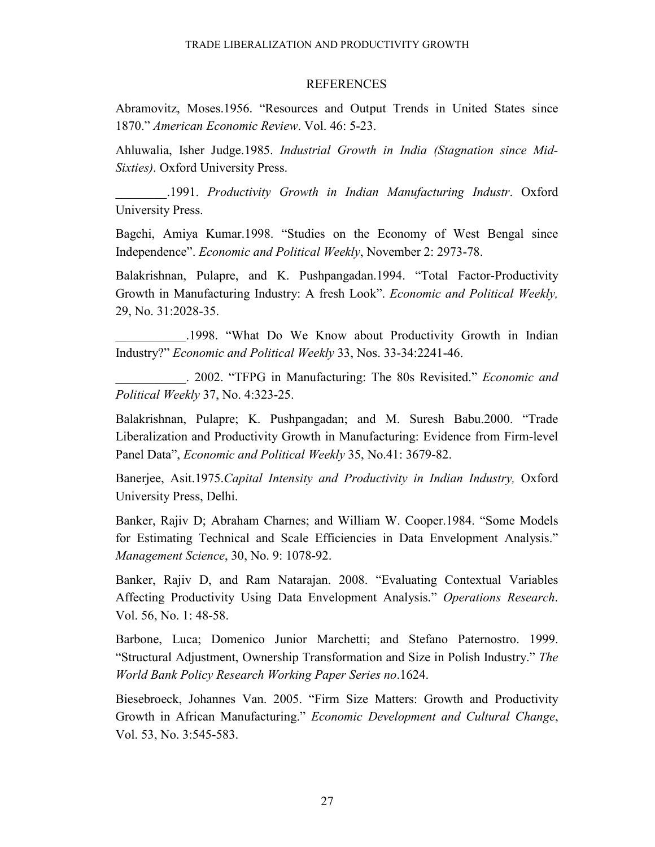## **REFERENCES**

Abramovitz, Moses.1956. "Resources and Output Trends in United States since 1870." *American Economic Review*. Vol. 46: 5-23.

Ahluwalia, Isher Judge.1985. *Industrial Growth in India (Stagnation since Mid-Sixties)*. Oxford University Press.

\_\_\_\_\_\_\_\_.1991. *Productivity Growth in Indian Manufacturing Industr*. Oxford University Press.

Bagchi, Amiya Kumar.1998. "Studies on the Economy of West Bengal since Independence". *Economic and Political Weekly*, November 2: 2973-78.

Balakrishnan, Pulapre, and K. Pushpangadan.1994. "Total Factor-Productivity Growth in Manufacturing Industry: A fresh Look". *Economic and Political Weekly,*  29, No. 31:2028-35.

\_\_\_\_\_\_\_\_\_\_\_.1998. "What Do We Know about Productivity Growth in Indian Industry?" *Economic and Political Weekly* 33, Nos. 33-34:2241-46.

\_\_\_\_\_\_\_\_\_\_\_. 2002. "TFPG in Manufacturing: The 80s Revisited." *Economic and Political Weekly* 37, No. 4:323-25.

Balakrishnan, Pulapre; K. Pushpangadan; and M. Suresh Babu.2000. "Trade Liberalization and Productivity Growth in Manufacturing: Evidence from Firm-level Panel Data", *Economic and Political Weekly* 35, No.41: 3679-82.

Banerjee, Asit.1975.*Capital Intensity and Productivity in Indian Industry,* Oxford University Press, Delhi.

Banker, Rajiv D; Abraham Charnes; and William W. Cooper.1984. "Some Models for Estimating Technical and Scale Efficiencies in Data Envelopment Analysis." *Management Science*, 30, No. 9: 1078-92.

Banker, Rajiv D, and Ram Natarajan. 2008. "Evaluating Contextual Variables Affecting Productivity Using Data Envelopment Analysis." *Operations Research*. Vol. 56, No. 1: 48-58.

Barbone, Luca; Domenico Junior Marchetti; and Stefano Paternostro. 1999. "Structural Adjustment, Ownership Transformation and Size in Polish Industry." *The World Bank Policy Research Working Paper Series no*.1624.

Biesebroeck, Johannes Van. 2005. "Firm Size Matters: Growth and Productivity Growth in African Manufacturing." *Economic Development and Cultural Change*, Vol. 53, No. 3:545-583.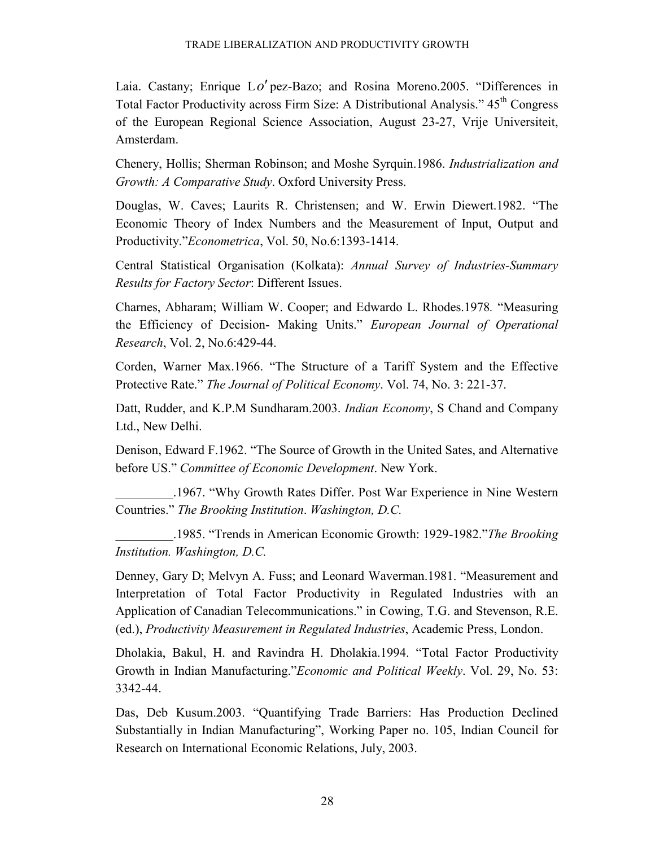Laia. Castany; Enrique L*o*′ pez-Bazo; and Rosina Moreno.2005. "Differences in Total Factor Productivity across Firm Size: A Distributional Analysis." 45<sup>th</sup> Congress of the European Regional Science Association, August 23-27, Vrije Universiteit, Amsterdam.

Chenery, Hollis; Sherman Robinson; and Moshe Syrquin.1986. *Industrialization and Growth: A Comparative Study*. Oxford University Press.

Douglas, W. Caves; Laurits R. Christensen; and W. Erwin Diewert.1982. "The Economic Theory of Index Numbers and the Measurement of Input, Output and Productivity."*Econometrica*, Vol. 50, No.6:1393-1414.

Central Statistical Organisation (Kolkata): *Annual Survey of Industries-Summary Results for Factory Sector*: Different Issues.

Charnes, Abharam; William W. Cooper; and Edwardo L. Rhodes.1978*.* "Measuring the Efficiency of Decision- Making Units." *European Journal of Operational Research*, Vol. 2, No.6:429-44.

Corden, Warner Max.1966. "The Structure of a Tariff System and the Effective Protective Rate." *The Journal of Political Economy*. Vol. 74, No. 3: 221-37.

Datt, Rudder, and K.P.M Sundharam.2003. *Indian Economy*, S Chand and Company Ltd., New Delhi.

Denison, Edward F.1962. "The Source of Growth in the United Sates, and Alternative before US." *Committee of Economic Development*. New York.

\_\_\_\_\_\_\_\_\_.1967. "Why Growth Rates Differ. Post War Experience in Nine Western Countries." *The Brooking Institution*. *Washington, D.C.* 

\_\_\_\_\_\_\_\_\_.1985. "Trends in American Economic Growth: 1929-1982."*The Brooking Institution. Washington, D.C.* 

Denney, Gary D; Melvyn A. Fuss; and Leonard Waverman.1981. "Measurement and Interpretation of Total Factor Productivity in Regulated Industries with an Application of Canadian Telecommunications." in Cowing, T.G. and Stevenson, R.E. (ed.), *Productivity Measurement in Regulated Industries*, Academic Press, London.

Dholakia, Bakul, H. and Ravindra H. Dholakia.1994. "Total Factor Productivity Growth in Indian Manufacturing."*Economic and Political Weekly*. Vol. 29, No. 53: 3342-44.

Das, Deb Kusum.2003. "Quantifying Trade Barriers: Has Production Declined Substantially in Indian Manufacturing", Working Paper no. 105, Indian Council for Research on International Economic Relations, July, 2003.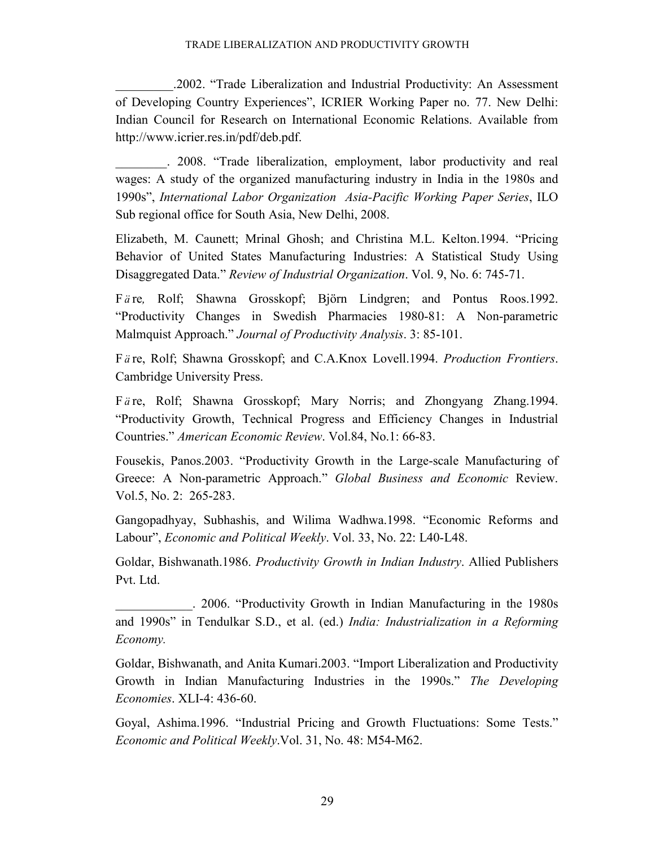\_\_\_\_\_\_\_\_\_.2002. "Trade Liberalization and Industrial Productivity: An Assessment of Developing Country Experiences", ICRIER Working Paper no. 77. New Delhi: Indian Council for Research on International Economic Relations. Available from http://www.icrier.res.in/pdf/deb.pdf.

\_\_\_\_\_\_\_\_. 2008. "Trade liberalization, employment, labor productivity and real wages: A study of the organized manufacturing industry in India in the 1980s and 1990s", *International Labor Organization Asia-Pacific Working Paper Series*, ILO Sub regional office for South Asia, New Delhi, 2008.

Elizabeth, M. Caunett; Mrinal Ghosh; and Christina M.L. Kelton.1994. "Pricing Behavior of United States Manufacturing Industries: A Statistical Study Using Disaggregated Data." *Review of Industrial Organization*. Vol. 9, No. 6: 745-71.

Färe, Rolf; Shawna Grosskopf; Björn Lindgren; and Pontus Roos.1992. "Productivity Changes in Swedish Pharmacies 1980-81: A Non-parametric Malmquist Approach." *Journal of Productivity Analysis*. 3: 85-101.

Färe, Rolf; Shawna Grosskopf; and C.A.Knox Lovell.1994. *Production Frontiers*. Cambridge University Press.

Färe, Rolf; Shawna Grosskopf; Mary Norris; and Zhongyang Zhang.1994. "Productivity Growth, Technical Progress and Efficiency Changes in Industrial Countries." *American Economic Review*. Vol.84, No.1: 66-83.

Fousekis, Panos.2003. "Productivity Growth in the Large-scale Manufacturing of Greece: A Non-parametric Approach." *Global Business and Economic* Review. Vol.5, No. 2: 265-283.

Gangopadhyay, Subhashis, and Wilima Wadhwa.1998. "Economic Reforms and Labour", *Economic and Political Weekly*. Vol. 33, No. 22: L40-L48.

Goldar, Bishwanath.1986. *Productivity Growth in Indian Industry*. Allied Publishers Pvt. Ltd.

\_\_\_\_\_\_\_\_\_\_\_\_. 2006. "Productivity Growth in Indian Manufacturing in the 1980s and 1990s" in Tendulkar S.D., et al. (ed.) *India: Industrialization in a Reforming Economy.* 

Goldar, Bishwanath, and Anita Kumari.2003. "Import Liberalization and Productivity Growth in Indian Manufacturing Industries in the 1990s." *The Developing Economies*. XLI-4: 436-60.

Goyal, Ashima.1996. "Industrial Pricing and Growth Fluctuations: Some Tests." *Economic and Political Weekly*.Vol. 31, No. 48: M54-M62.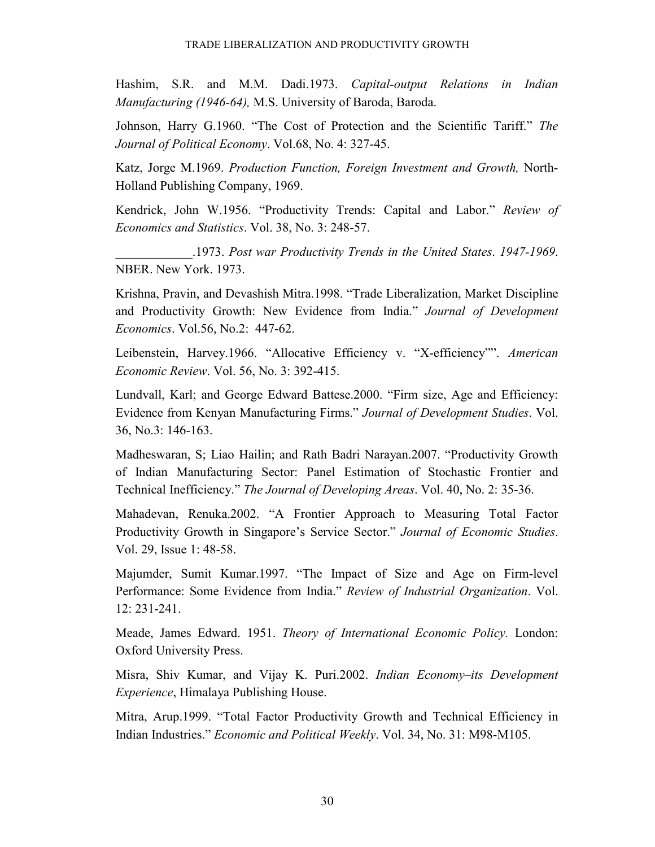Hashim, S.R. and M.M. Dadi.1973. *Capital-output Relations in Indian Manufacturing (1946-64),* M.S. University of Baroda, Baroda.

Johnson, Harry G.1960. "The Cost of Protection and the Scientific Tariff." *The Journal of Political Economy*. Vol.68, No. 4: 327-45.

Katz, Jorge M.1969. *Production Function, Foreign Investment and Growth,* North-Holland Publishing Company, 1969.

Kendrick, John W.1956. "Productivity Trends: Capital and Labor." *Review of Economics and Statistics*. Vol. 38, No. 3: 248-57.

\_\_\_\_\_\_\_\_\_\_\_\_.1973. *Post war Productivity Trends in the United States*. *1947-1969*. NBER. New York. 1973.

Krishna, Pravin, and Devashish Mitra.1998. "Trade Liberalization, Market Discipline and Productivity Growth: New Evidence from India." *Journal of Development Economics*. Vol.56, No.2: 447-62.

Leibenstein, Harvey.1966. "Allocative Efficiency v. "X-efficiency"". *American Economic Review*. Vol. 56, No. 3: 392-415.

Lundvall, Karl; and George Edward Battese.2000. "Firm size, Age and Efficiency: Evidence from Kenyan Manufacturing Firms." *Journal of Development Studies*. Vol. 36, No.3: 146-163.

Madheswaran, S; Liao Hailin; and Rath Badri Narayan.2007. "Productivity Growth of Indian Manufacturing Sector: Panel Estimation of Stochastic Frontier and Technical Inefficiency." *The Journal of Developing Areas*. Vol. 40, No. 2: 35-36.

Mahadevan, Renuka.2002. "A Frontier Approach to Measuring Total Factor Productivity Growth in Singapore's Service Sector." *Journal of Economic Studies*. Vol. 29, Issue 1: 48-58.

Majumder, Sumit Kumar.1997. "The Impact of Size and Age on Firm-level Performance: Some Evidence from India." *Review of Industrial Organization*. Vol. 12: 231-241.

Meade, James Edward. 1951. *Theory of International Economic Policy.* London: Oxford University Press.

Misra, Shiv Kumar, and Vijay K. Puri.2002. *Indian Economy–its Development Experience*, Himalaya Publishing House.

Mitra, Arup.1999. "Total Factor Productivity Growth and Technical Efficiency in Indian Industries." *Economic and Political Weekly*. Vol. 34, No. 31: M98-M105.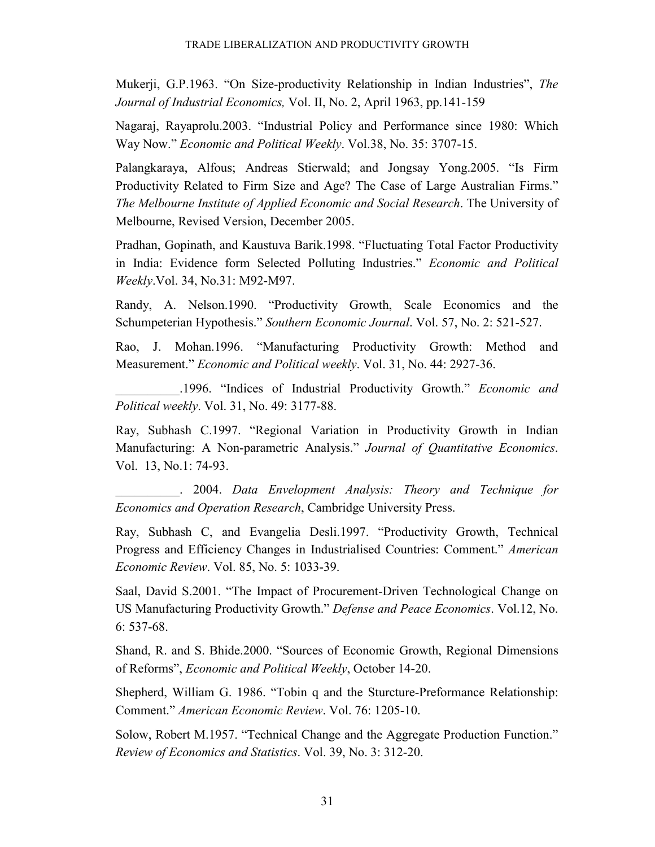Mukerji, G.P.1963. "On Size-productivity Relationship in Indian Industries", *The Journal of Industrial Economics,* Vol. II, No. 2, April 1963, pp.141-159

Nagaraj, Rayaprolu.2003. "Industrial Policy and Performance since 1980: Which Way Now." *Economic and Political Weekly*. Vol.38, No. 35: 3707-15.

Palangkaraya, Alfous; Andreas Stierwald; and Jongsay Yong.2005. "Is Firm Productivity Related to Firm Size and Age? The Case of Large Australian Firms." *The Melbourne Institute of Applied Economic and Social Research*. The University of Melbourne, Revised Version, December 2005.

Pradhan, Gopinath, and Kaustuva Barik.1998. "Fluctuating Total Factor Productivity in India: Evidence form Selected Polluting Industries." *Economic and Political Weekly*.Vol. 34, No.31: M92-M97.

Randy, A. Nelson.1990. "Productivity Growth, Scale Economics and the Schumpeterian Hypothesis." *Southern Economic Journal*. Vol. 57, No. 2: 521-527.

Rao, J. Mohan.1996. "Manufacturing Productivity Growth: Method and Measurement." *Economic and Political weekly*. Vol. 31, No. 44: 2927-36.

\_\_\_\_\_\_\_\_\_\_.1996. "Indices of Industrial Productivity Growth." *Economic and Political weekly*. Vol. 31, No. 49: 3177-88.

Ray, Subhash C.1997. "Regional Variation in Productivity Growth in Indian Manufacturing: A Non-parametric Analysis." *Journal of Quantitative Economics*. Vol. 13, No.1: 74-93.

\_\_\_\_\_\_\_\_\_\_. 2004. *Data Envelopment Analysis: Theory and Technique for Economics and Operation Research*, Cambridge University Press.

Ray, Subhash C, and Evangelia Desli.1997. "Productivity Growth, Technical Progress and Efficiency Changes in Industrialised Countries: Comment." *American Economic Review*. Vol. 85, No. 5: 1033-39.

Saal, David S.2001. "The Impact of Procurement-Driven Technological Change on US Manufacturing Productivity Growth." *Defense and Peace Economics*. Vol.12, No. 6: 537-68.

Shand, R. and S. Bhide.2000. "Sources of Economic Growth, Regional Dimensions of Reforms", *Economic and Political Weekly*, October 14-20.

Shepherd, William G. 1986. "Tobin q and the Sturcture-Preformance Relationship: Comment." *American Economic Review*. Vol. 76: 1205-10.

Solow, Robert M.1957. "Technical Change and the Aggregate Production Function." *Review of Economics and Statistics*. Vol. 39, No. 3: 312-20.